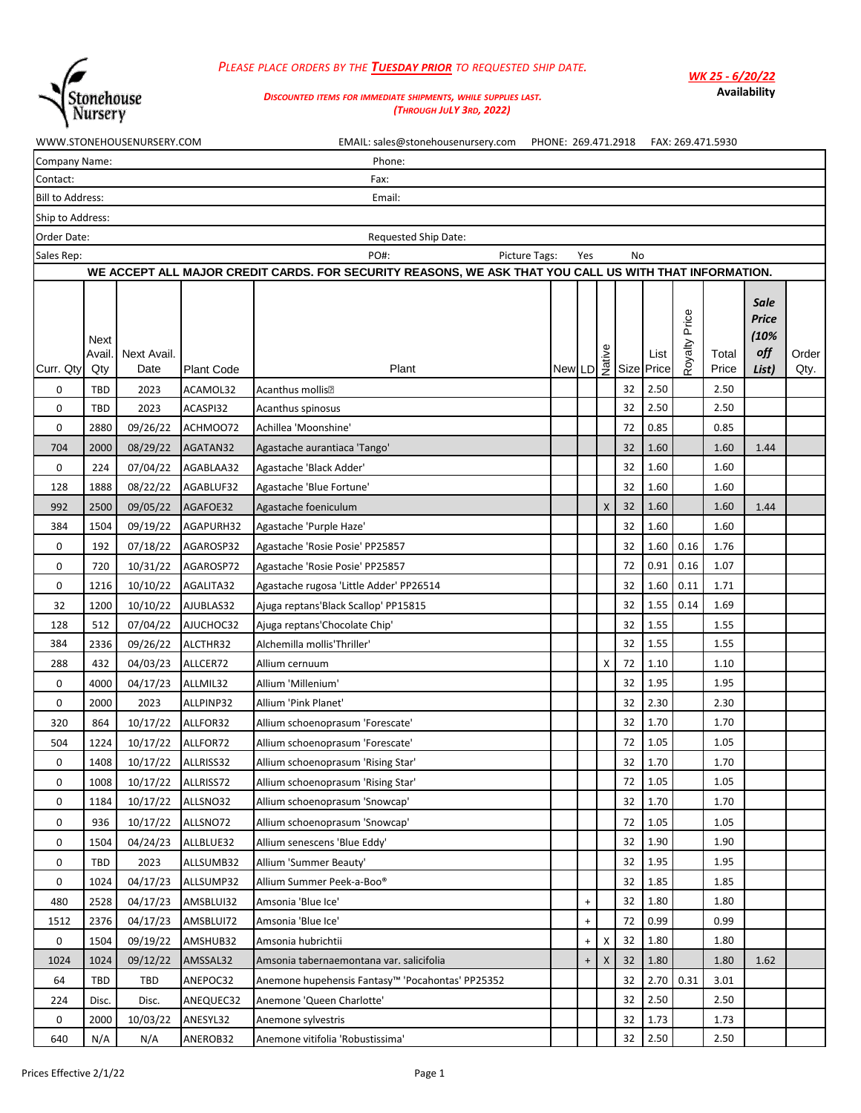

## *PLEASE PLACE ORDERS BY THE TUESDAY PRIOR TO REQUESTED SHIP DATE.*

*WK 25 - 6/20/22* **Availability**

## *DISCOUNTED ITEMS FOR IMMEDIATE SHIPMENTS, WHILE SUPPLIES LAST. (THROUGH JULY 3RD, 2022)*

|                         |                       | WWW.STONEHOUSENURSERY.COM |            | EMAIL: sales@stonehousenursery.com                                                                     | PHONE: 269.471.2918                                      |                                  |   |    |                    |                  | FAX: 269.471.5930 |                                              |               |
|-------------------------|-----------------------|---------------------------|------------|--------------------------------------------------------------------------------------------------------|----------------------------------------------------------|----------------------------------|---|----|--------------------|------------------|-------------------|----------------------------------------------|---------------|
| Company Name:           |                       |                           |            | Phone:                                                                                                 |                                                          |                                  |   |    |                    |                  |                   |                                              |               |
| Contact:                |                       |                           |            | Fax:                                                                                                   |                                                          |                                  |   |    |                    |                  |                   |                                              |               |
| <b>Bill to Address:</b> |                       |                           |            | Email:                                                                                                 |                                                          |                                  |   |    |                    |                  |                   |                                              |               |
| Ship to Address:        |                       |                           |            |                                                                                                        |                                                          |                                  |   |    |                    |                  |                   |                                              |               |
| Order Date:             |                       |                           |            | <b>Requested Ship Date:</b>                                                                            |                                                          |                                  |   |    |                    |                  |                   |                                              |               |
| Sales Rep:              |                       |                           |            | PO#:<br>Picture Tags:                                                                                  |                                                          | Yes                              |   | No |                    |                  |                   |                                              |               |
|                         |                       |                           |            | WE ACCEPT ALL MAJOR CREDIT CARDS. FOR SECURITY REASONS, WE ASK THAT YOU CALL US WITH THAT INFORMATION. |                                                          |                                  |   |    |                    |                  |                   |                                              |               |
| Curr. Qty               | Next<br>Avail.<br>Qty | Next Avail.<br>Date       | Plant Code | Plant                                                                                                  | $\begin{array}{c} \n\sqrt{1 + 2} \\ \hline\n\end{array}$ |                                  |   |    | List<br>Size Price | Price<br>Royalty | Total<br>Price    | <b>Sale</b><br>Price<br>(10%<br>off<br>List) | Order<br>Qty. |
| 0                       | <b>TBD</b>            | 2023                      | ACAMOL32   | Acanthus mollis•                                                                                       |                                                          |                                  |   | 32 | 2.50               |                  | 2.50              |                                              |               |
| 0                       | <b>TBD</b>            | 2023                      | ACASPI32   | Acanthus spinosus                                                                                      |                                                          |                                  |   | 32 | 2.50               |                  | 2.50              |                                              |               |
| 0                       | 2880                  | 09/26/22                  | ACHMOO72   | Achillea 'Moonshine'                                                                                   |                                                          |                                  |   | 72 | 0.85               |                  | 0.85              |                                              |               |
| 704                     | 2000                  | 08/29/22                  | AGATAN32   | Agastache aurantiaca 'Tango'                                                                           |                                                          |                                  |   | 32 | 1.60               |                  | 1.60              | 1.44                                         |               |
| 0                       | 224                   | 07/04/22                  | AGABLAA32  | Agastache 'Black Adder'                                                                                |                                                          |                                  |   | 32 | 1.60               |                  | 1.60              |                                              |               |
| 128                     | 1888                  | 08/22/22                  | AGABLUF32  | Agastache 'Blue Fortune'                                                                               |                                                          |                                  |   | 32 | 1.60               |                  | 1.60              |                                              |               |
| 992                     | 2500                  | 09/05/22                  | AGAFOE32   | Agastache foeniculum                                                                                   |                                                          |                                  | X | 32 | 1.60               |                  | 1.60              | 1.44                                         |               |
| 384                     | 1504                  | 09/19/22                  | AGAPURH32  | Agastache 'Purple Haze'                                                                                |                                                          |                                  |   | 32 | 1.60               |                  | 1.60              |                                              |               |
| 0                       | 192                   | 07/18/22                  | AGAROSP32  | Agastache 'Rosie Posie' PP25857                                                                        |                                                          |                                  |   | 32 | 1.60               | 0.16             | 1.76              |                                              |               |
| 0                       | 720                   | 10/31/22                  | AGAROSP72  | Agastache 'Rosie Posie' PP25857                                                                        |                                                          |                                  |   | 72 | 0.91               | 0.16             | 1.07              |                                              |               |
| 0                       | 1216                  | 10/10/22                  | AGALITA32  | Agastache rugosa 'Little Adder' PP26514                                                                |                                                          |                                  |   | 32 | 1.60               | 0.11             | 1.71              |                                              |               |
| 32                      | 1200                  | 10/10/22                  | AJUBLAS32  | Ajuga reptans'Black Scallop' PP15815                                                                   |                                                          |                                  |   | 32 | 1.55               | 0.14             | 1.69              |                                              |               |
| 128                     | 512                   | 07/04/22                  | AJUCHOC32  | Ajuga reptans'Chocolate Chip'                                                                          |                                                          |                                  |   | 32 | 1.55               |                  | 1.55              |                                              |               |
| 384                     | 2336                  | 09/26/22                  | ALCTHR32   | Alchemilla mollis'Thriller'                                                                            |                                                          |                                  |   | 32 | 1.55               |                  | 1.55              |                                              |               |
| 288                     | 432                   | 04/03/23                  | ALLCER72   | Allium cernuum                                                                                         |                                                          |                                  | Χ | 72 | 1.10               |                  | 1.10              |                                              |               |
| 0                       | 4000                  | 04/17/23                  | ALLMIL32   | Allium 'Millenium'                                                                                     |                                                          |                                  |   | 32 | 1.95               |                  | 1.95              |                                              |               |
| 0                       | 2000                  | 2023                      | ALLPINP32  | Allium 'Pink Planet'                                                                                   |                                                          |                                  |   | 32 | 2.30               |                  | 2.30              |                                              |               |
| 320                     | 864                   | 10/17/22                  | ALLFOR32   | Allium schoenoprasum 'Forescate'                                                                       |                                                          |                                  |   | 32 | 1.70               |                  | 1.70              |                                              |               |
| 504                     | 1224                  | 10/17/22                  | ALLFOR72   | Allium schoenoprasum 'Forescate'                                                                       |                                                          |                                  |   | 72 | 1.05               |                  | 1.05              |                                              |               |
| 0                       | 1408                  | 10/17/22 ALLRISS32        |            | Allium schoenoprasum 'Rising Star'                                                                     |                                                          |                                  |   | 32 | 1.70               |                  | 1.70              |                                              |               |
| 0                       | 1008                  | 10/17/22                  | ALLRISS72  | Allium schoenoprasum 'Rising Star'                                                                     |                                                          |                                  |   | 72 | $1.05\,$           |                  | 1.05              |                                              |               |
| 0                       | 1184                  | 10/17/22                  | ALLSNO32   | Allium schoenoprasum 'Snowcap'                                                                         |                                                          |                                  |   | 32 | 1.70               |                  | 1.70              |                                              |               |
| 0                       | 936                   | 10/17/22                  | ALLSNO72   | Allium schoenoprasum 'Snowcap'                                                                         |                                                          |                                  |   | 72 | 1.05               |                  | 1.05              |                                              |               |
| 0                       | 1504                  | 04/24/23                  | ALLBLUE32  | Allium senescens 'Blue Eddy'                                                                           |                                                          |                                  |   | 32 | 1.90               |                  | 1.90              |                                              |               |
| 0                       | TBD                   | 2023                      | ALLSUMB32  | Allium 'Summer Beauty'                                                                                 |                                                          |                                  |   | 32 | 1.95               |                  | 1.95              |                                              |               |
| 0                       | 1024                  | 04/17/23                  | ALLSUMP32  | Allium Summer Peek-a-Boo®                                                                              |                                                          |                                  |   | 32 | 1.85               |                  | 1.85              |                                              |               |
| 480                     | 2528                  | 04/17/23                  | AMSBLUI32  | Amsonia 'Blue Ice'                                                                                     |                                                          | $\ddot{}$                        |   | 32 | 1.80               |                  | 1.80              |                                              |               |
| 1512                    | 2376                  | 04/17/23                  | AMSBLUI72  | Amsonia 'Blue Ice'                                                                                     |                                                          | $\begin{array}{c} + \end{array}$ |   | 72 | 0.99               |                  | 0.99              |                                              |               |
| 0                       | 1504                  | 09/19/22                  | AMSHUB32   | Amsonia hubrichtii                                                                                     |                                                          | $\ddot{}$                        | X | 32 | 1.80               |                  | 1.80              |                                              |               |
| 1024                    | 1024                  | 09/12/22                  | AMSSAL32   | Amsonia tabernaemontana var. salicifolia                                                               |                                                          | $\ddot{}$                        | X | 32 | 1.80               |                  | 1.80              | 1.62                                         |               |
| 64                      | TBD                   | TBD                       | ANEPOC32   | Anemone hupehensis Fantasy™ 'Pocahontas' PP25352                                                       |                                                          |                                  |   | 32 | 2.70               | 0.31             | 3.01              |                                              |               |
| 224                     | Disc.                 | Disc.                     | ANEQUEC32  | Anemone 'Queen Charlotte'                                                                              |                                                          |                                  |   | 32 | 2.50               |                  | 2.50              |                                              |               |
| 0                       | 2000                  | 10/03/22                  | ANESYL32   | Anemone sylvestris                                                                                     |                                                          |                                  |   | 32 | 1.73               |                  | 1.73              |                                              |               |
| 640                     | N/A                   | N/A                       | ANEROB32   | Anemone vitifolia 'Robustissima'                                                                       |                                                          |                                  |   | 32 | 2.50               |                  | 2.50              |                                              |               |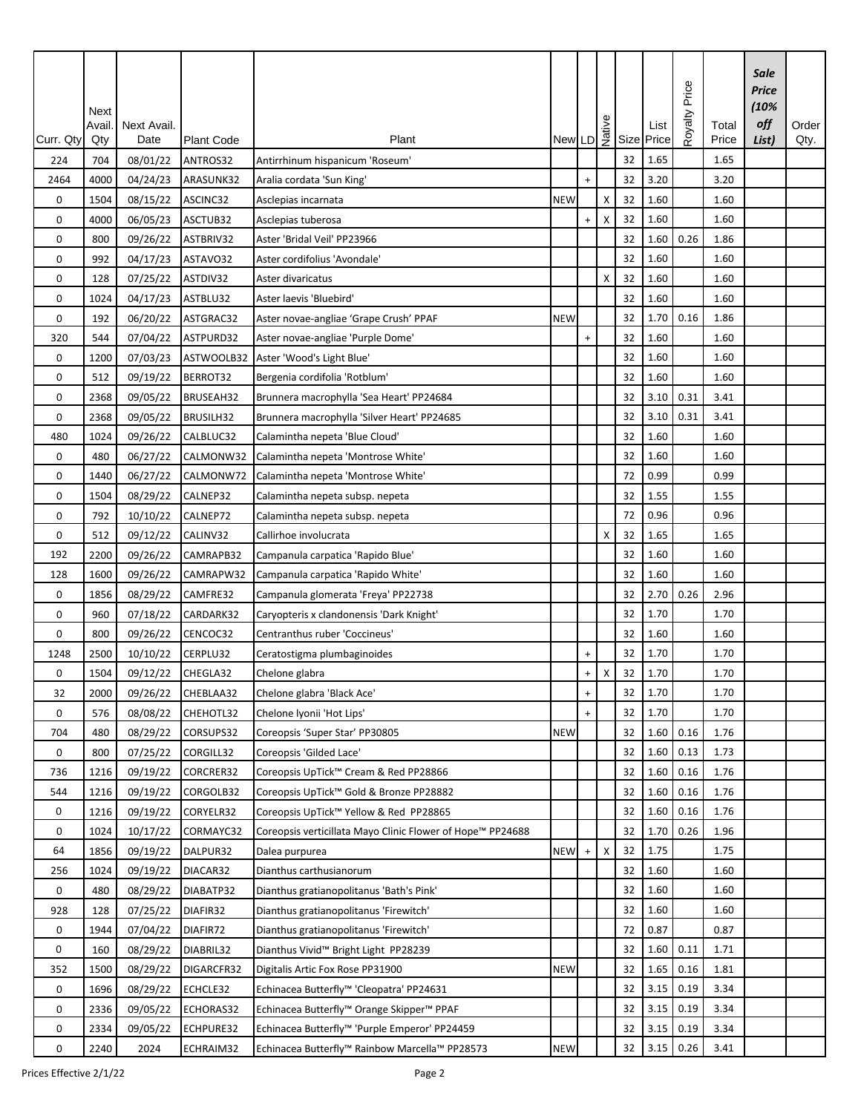| Curr. Qty | Next<br><b>Avail</b><br>Qty | Next Avail.<br>Date  | <b>Plant Code</b>     | Plant                                                      |            |                                  |   |    | New LD $\frac{9}{12}$ Size Price | Royalty Price | Total<br>Price | <b>Sale</b><br>Price<br>(10%<br>off<br>List) | Order<br>Qty. |
|-----------|-----------------------------|----------------------|-----------------------|------------------------------------------------------------|------------|----------------------------------|---|----|----------------------------------|---------------|----------------|----------------------------------------------|---------------|
| 224       | 704                         | 08/01/22             | ANTROS32              | Antirrhinum hispanicum 'Roseum'                            |            |                                  |   | 32 | 1.65                             |               | 1.65           |                                              |               |
| 2464      | 4000                        | 04/24/23             | ARASUNK32             | Aralia cordata 'Sun King'                                  |            | $+$                              |   | 32 | 3.20                             |               | 3.20           |                                              |               |
| 0         | 1504                        | 08/15/22             | ASCINC32              |                                                            | <b>NEW</b> |                                  | Χ | 32 | 1.60                             |               | 1.60           |                                              |               |
| 0         |                             |                      |                       | Asclepias incarnata                                        |            | $\ddot{}$                        |   | 32 | 1.60                             |               | 1.60           |                                              |               |
| 0         | 4000<br>800                 | 06/05/23<br>09/26/22 | ASCTUB32<br>ASTBRIV32 | Asclepias tuberosa<br>Aster 'Bridal Veil' PP23966          |            |                                  | х | 32 | 1.60                             | 0.26          | 1.86           |                                              |               |
| 0         | 992                         |                      |                       |                                                            |            |                                  |   | 32 | 1.60                             |               | 1.60           |                                              |               |
| 0         |                             | 04/17/23             | ASTAVO32<br>ASTDIV32  | Aster cordifolius 'Avondale'<br>Aster divaricatus          |            |                                  | X | 32 | 1.60                             |               |                |                                              |               |
|           | 128                         | 07/25/22             |                       |                                                            |            |                                  |   | 32 | 1.60                             |               | 1.60<br>1.60   |                                              |               |
| 0<br>0    | 1024                        | 04/17/23             | ASTBLU32              | Aster laevis 'Bluebird'                                    |            |                                  |   | 32 | 1.70                             | 0.16          | 1.86           |                                              |               |
|           | 192                         | 06/20/22             | ASTGRAC32             | Aster novae-angliae 'Grape Crush' PPAF                     | <b>NEW</b> |                                  |   |    | 1.60                             |               | 1.60           |                                              |               |
| 320       | 544                         | 07/04/22             | ASTPURD32             | Aster novae-angliae 'Purple Dome'                          |            | $\ddot{}$                        |   | 32 |                                  |               |                |                                              |               |
| 0         | 1200                        | 07/03/23             | ASTWOOLB32            | Aster 'Wood's Light Blue'                                  |            |                                  |   | 32 | 1.60                             |               | 1.60           |                                              |               |
| 0         | 512                         | 09/19/22             | BERROT32              | Bergenia cordifolia 'Rotblum'                              |            |                                  |   | 32 | 1.60                             |               | 1.60           |                                              |               |
| 0         | 2368                        | 09/05/22             | BRUSEAH32             | Brunnera macrophylla 'Sea Heart' PP24684                   |            |                                  |   | 32 | 3.10                             | 0.31          | 3.41           |                                              |               |
| 0         | 2368                        | 09/05/22             | BRUSILH32             | Brunnera macrophylla 'Silver Heart' PP24685                |            |                                  |   | 32 | 3.10                             | 0.31          | 3.41           |                                              |               |
| 480       | 1024                        | 09/26/22             | CALBLUC32             | Calamintha nepeta 'Blue Cloud'                             |            |                                  |   | 32 | 1.60                             |               | 1.60           |                                              |               |
| 0         | 480                         | 06/27/22             | CALMONW32             | Calamintha nepeta 'Montrose White'                         |            |                                  |   | 32 | 1.60                             |               | 1.60           |                                              |               |
| 0         | 1440                        | 06/27/22             | CALMONW72             | Calamintha nepeta 'Montrose White'                         |            |                                  |   | 72 | 0.99                             |               | 0.99           |                                              |               |
| 0         | 1504                        | 08/29/22             | CALNEP32              | Calamintha nepeta subsp. nepeta                            |            |                                  |   | 32 | 1.55                             |               | 1.55           |                                              |               |
| 0         | 792                         | 10/10/22             | CALNEP72              | Calamintha nepeta subsp. nepeta                            |            |                                  |   | 72 | 0.96                             |               | 0.96           |                                              |               |
| 0         | 512                         | 09/12/22             | CALINV32              | Callirhoe involucrata                                      |            |                                  | X | 32 | 1.65                             |               | 1.65           |                                              |               |
| 192       | 2200                        | 09/26/22             | CAMRAPB32             | Campanula carpatica 'Rapido Blue'                          |            |                                  |   | 32 | 1.60                             |               | 1.60           |                                              |               |
| 128       | 1600                        | 09/26/22             | CAMRAPW32             | Campanula carpatica 'Rapido White'                         |            |                                  |   | 32 | 1.60                             |               | 1.60           |                                              |               |
| 0         | 1856                        | 08/29/22             | CAMFRE32              | Campanula glomerata 'Freya' PP22738                        |            |                                  |   | 32 | 2.70                             | 0.26          | 2.96           |                                              |               |
| 0         | 960                         | 07/18/22             | CARDARK32             | Caryopteris x clandonensis 'Dark Knight'                   |            |                                  |   | 32 | 1.70                             |               | 1.70           |                                              |               |
| 0         | 800                         | 09/26/22             | CENCOC32              | Centranthus ruber 'Coccineus'                              |            |                                  |   | 32 | 1.60                             |               | 1.60           |                                              |               |
| 1248      | 2500                        | 10/10/22             | CERPLU32              | Ceratostigma plumbaginoides                                |            | $\ddot{}$                        |   | 32 | 1.70                             |               | 1.70           |                                              |               |
| 0         | 1504                        | 09/12/22             | CHEGLA32              | Chelone glabra                                             |            | $+$                              | X | 32 | 1.70                             |               | 1.70           |                                              |               |
| 32        | 2000                        | 09/26/22             | CHEBLAA32             | Chelone glabra 'Black Ace'                                 |            | $+$                              |   | 32 | 1.70                             |               | 1.70           |                                              |               |
| 0         | 576                         | 08/08/22             | CHEHOTL32             | Chelone Iyonii 'Hot Lips'                                  |            | $\ddot{}$                        |   | 32 | 1.70                             |               | 1.70           |                                              |               |
| 704       | 480                         | 08/29/22             | CORSUPS32             | Coreopsis 'Super Star' PP30805                             | <b>NEW</b> |                                  |   | 32 | 1.60                             | 0.16          | 1.76           |                                              |               |
| 0         | 800                         | 07/25/22             | CORGILL32             | Coreopsis 'Gilded Lace'                                    |            |                                  |   | 32 | 1.60                             | 0.13          | 1.73           |                                              |               |
| 736       | 1216                        | 09/19/22             | CORCRER32             | Coreopsis UpTick™ Cream & Red PP28866                      |            |                                  |   | 32 | 1.60                             | 0.16          | 1.76           |                                              |               |
| 544       | 1216                        | 09/19/22             | CORGOLB32             | Coreopsis UpTick™ Gold & Bronze PP28882                    |            |                                  |   | 32 | 1.60                             | 0.16          | 1.76           |                                              |               |
| 0         | 1216                        | 09/19/22             | CORYELR32             | Coreopsis UpTick™ Yellow & Red PP28865                     |            |                                  |   | 32 | 1.60                             | 0.16          | 1.76           |                                              |               |
| 0         | 1024                        | 10/17/22             | CORMAYC32             | Coreopsis verticillata Mayo Clinic Flower of Hope™ PP24688 |            |                                  |   | 32 | 1.70                             | 0.26          | 1.96           |                                              |               |
| 64        | 1856                        | 09/19/22             | DALPUR32              | Dalea purpurea                                             | <b>NEW</b> | $\begin{array}{c} + \end{array}$ | х | 32 | 1.75                             |               | 1.75           |                                              |               |
| 256       | 1024                        | 09/19/22             | DIACAR32              | Dianthus carthusianorum                                    |            |                                  |   | 32 | 1.60                             |               | 1.60           |                                              |               |
| 0         | 480                         | 08/29/22             | DIABATP32             | Dianthus gratianopolitanus 'Bath's Pink'                   |            |                                  |   | 32 | 1.60                             |               | 1.60           |                                              |               |
| 928       | 128                         | 07/25/22             | DIAFIR32              | Dianthus gratianopolitanus 'Firewitch'                     |            |                                  |   | 32 | 1.60                             |               | 1.60           |                                              |               |
| 0         | 1944                        | 07/04/22             | DIAFIR72              | Dianthus gratianopolitanus 'Firewitch'                     |            |                                  |   | 72 | 0.87                             |               | 0.87           |                                              |               |
| 0         | 160                         | 08/29/22             | DIABRIL32             | Dianthus Vivid <sup>™</sup> Bright Light PP28239           |            |                                  |   | 32 | 1.60                             | 0.11          | 1.71           |                                              |               |
| 352       | 1500                        | 08/29/22             | DIGARCFR32            | Digitalis Artic Fox Rose PP31900                           | <b>NEW</b> |                                  |   | 32 | 1.65                             | 0.16          | 1.81           |                                              |               |
| 0         | 1696                        | 08/29/22             | ECHCLE32              | Echinacea Butterfly™ 'Cleopatra' PP24631                   |            |                                  |   | 32 | 3.15                             | 0.19          | 3.34           |                                              |               |
| 0         | 2336                        | 09/05/22             | ECHORAS32             | Echinacea Butterfly™ Orange Skipper™ PPAF                  |            |                                  |   | 32 | 3.15                             | 0.19          | 3.34           |                                              |               |
| 0         | 2334                        | 09/05/22             | ECHPURE32             | Echinacea Butterfly <sup>™</sup> 'Purple Emperor' PP24459  |            |                                  |   | 32 | 3.15                             | 0.19          | 3.34           |                                              |               |
| $\pmb{0}$ | 2240                        | 2024                 | ECHRAIM32             | Echinacea Butterfly™ Rainbow Marcella™ PP28573             | <b>NEW</b> |                                  |   | 32 | 3.15                             | 0.26          | 3.41           |                                              |               |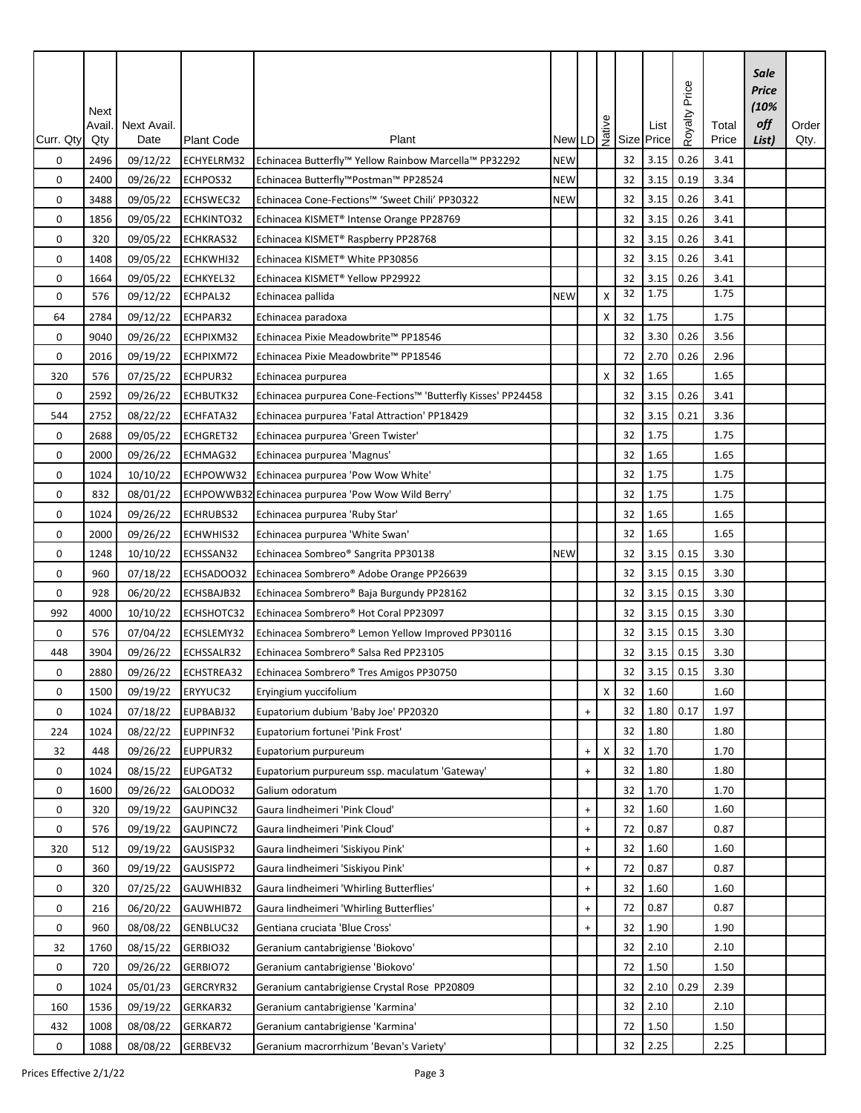| Curr. Qty | Next<br>Avail.<br>Qty | Next Avail.<br>Date | <b>Plant Code</b> | Plant                                                        |            |                                  |    |    | $\begin{array}{c} \begin{array}{c} \circ \\ \downarrow \\ \downarrow \end{array} \\ \begin{array}{c} \mathsf{New} \end{array} \end{array}$ List $\begin{array}{c} \circ \\ \downarrow \\ \mathsf{New} \end{array}$ List Size Price | Price<br>Royalty | Total<br>Price | Sale<br><b>Price</b><br>(10%<br>off<br>List) | Order<br>Qty. |
|-----------|-----------------------|---------------------|-------------------|--------------------------------------------------------------|------------|----------------------------------|----|----|------------------------------------------------------------------------------------------------------------------------------------------------------------------------------------------------------------------------------------|------------------|----------------|----------------------------------------------|---------------|
| 0         | 2496                  | 09/12/22            | ECHYELRM32        | Echinacea Butterfly™ Yellow Rainbow Marcella™ PP32292        | <b>NEW</b> |                                  |    | 32 | 3.15                                                                                                                                                                                                                               | 0.26             | 3.41           |                                              |               |
| 0         | 2400                  | 09/26/22            | ECHPOS32          | Echinacea Butterfly™Postman™ PP28524                         | <b>NEW</b> |                                  |    | 32 | 3.15                                                                                                                                                                                                                               | 0.19             | 3.34           |                                              |               |
| 0         | 3488                  | 09/05/22            | ECHSWEC32         | Echinacea Cone-Fections™ 'Sweet Chili' PP30322               | <b>NEW</b> |                                  |    | 32 | 3.15                                                                                                                                                                                                                               | 0.26             | 3.41           |                                              |               |
| 0         | 1856                  | 09/05/22            | ECHKINTO32        | Echinacea KISMET® Intense Orange PP28769                     |            |                                  |    | 32 | 3.15                                                                                                                                                                                                                               | 0.26             | 3.41           |                                              |               |
| 0         | 320                   | 09/05/22            | ECHKRAS32         | Echinacea KISMET® Raspberry PP28768                          |            |                                  |    | 32 | 3.15                                                                                                                                                                                                                               | 0.26             | 3.41           |                                              |               |
| 0         | 1408                  | 09/05/22            | ECHKWHI32         | Echinacea KISMET® White PP30856                              |            |                                  |    | 32 | 3.15                                                                                                                                                                                                                               | 0.26             | 3.41           |                                              |               |
| 0         | 1664                  | 09/05/22            | ECHKYEL32         | Echinacea KISMET® Yellow PP29922                             |            |                                  |    | 32 | 3.15                                                                                                                                                                                                                               | 0.26             | 3.41           |                                              |               |
| 0         | 576                   | 09/12/22            | ECHPAL32          | Echinacea pallida                                            | <b>NEW</b> |                                  | X  | 32 | 1.75                                                                                                                                                                                                                               |                  | 1.75           |                                              |               |
| 64        | 2784                  | 09/12/22            | ECHPAR32          | Echinacea paradoxa                                           |            |                                  | X  | 32 | 1.75                                                                                                                                                                                                                               |                  | 1.75           |                                              |               |
| 0         | 9040                  | 09/26/22            | ECHPIXM32         | Echinacea Pixie Meadowbrite™ PP18546                         |            |                                  |    | 32 | 3.30                                                                                                                                                                                                                               | 0.26             | 3.56           |                                              |               |
| 0         | 2016                  | 09/19/22            | ECHPIXM72         | Echinacea Pixie Meadowbrite™ PP18546                         |            |                                  |    | 72 | 2.70                                                                                                                                                                                                                               | 0.26             | 2.96           |                                              |               |
| 320       | 576                   | 07/25/22            | ECHPUR32          | Echinacea purpurea                                           |            |                                  | х  | 32 | 1.65                                                                                                                                                                                                                               |                  | 1.65           |                                              |               |
| 0         | 2592                  | 09/26/22            | ECHBUTK32         | Echinacea purpurea Cone-Fections™ 'Butterfly Kisses' PP24458 |            |                                  |    | 32 | 3.15                                                                                                                                                                                                                               | 0.26             | 3.41           |                                              |               |
| 544       | 2752                  | 08/22/22            | ECHFATA32         | Echinacea purpurea 'Fatal Attraction' PP18429                |            |                                  |    | 32 | 3.15                                                                                                                                                                                                                               | 0.21             | 3.36           |                                              |               |
| 0         | 2688                  | 09/05/22            | ECHGRET32         | Echinacea purpurea 'Green Twister'                           |            |                                  |    | 32 | 1.75                                                                                                                                                                                                                               |                  | 1.75           |                                              |               |
| 0         | 2000                  | 09/26/22            | ECHMAG32          | Echinacea purpurea 'Magnus'                                  |            |                                  |    | 32 | 1.65                                                                                                                                                                                                                               |                  | 1.65           |                                              |               |
| 0         | 1024                  | 10/10/22            | ECHPOWW32         | Echinacea purpurea 'Pow Wow White'                           |            |                                  |    | 32 | 1.75                                                                                                                                                                                                                               |                  | 1.75           |                                              |               |
| 0         | 832                   | 08/01/22            |                   | ECHPOWWB32 Echinacea purpurea 'Pow Wow Wild Berry'           |            |                                  |    | 32 | 1.75                                                                                                                                                                                                                               |                  | 1.75           |                                              |               |
| 0         | 1024                  | 09/26/22            | ECHRUBS32         | Echinacea purpurea 'Ruby Star'                               |            |                                  |    | 32 | 1.65                                                                                                                                                                                                                               |                  | 1.65           |                                              |               |
| 0         | 2000                  | 09/26/22            | ECHWHIS32         | Echinacea purpurea 'White Swan'                              |            |                                  |    | 32 | 1.65                                                                                                                                                                                                                               |                  | 1.65           |                                              |               |
| 0         | 1248                  | 10/10/22            | ECHSSAN32         | Echinacea Sombreo® Sangrita PP30138                          | <b>NEW</b> |                                  |    | 32 | 3.15                                                                                                                                                                                                                               | 0.15             | 3.30           |                                              |               |
| 0         | 960                   | 07/18/22            | ECHSADOO32        | Echinacea Sombrero® Adobe Orange PP26639                     |            |                                  |    | 32 | 3.15                                                                                                                                                                                                                               | 0.15             | 3.30           |                                              |               |
| 0         | 928                   | 06/20/22            | ECHSBAJB32        | Echinacea Sombrero® Baja Burgundy PP28162                    |            |                                  |    | 32 | 3.15                                                                                                                                                                                                                               | 0.15             | 3.30           |                                              |               |
| 992       | 4000                  | 10/10/22            | ECHSHOTC32        | Echinacea Sombrero® Hot Coral PP23097                        |            |                                  |    | 32 | 3.15                                                                                                                                                                                                                               | 0.15             | 3.30           |                                              |               |
| 0         | 576                   | 07/04/22            | ECHSLEMY32        | Echinacea Sombrero® Lemon Yellow Improved PP30116            |            |                                  |    | 32 | 3.15                                                                                                                                                                                                                               | 0.15             | 3.30           |                                              |               |
| 448       | 3904                  | 09/26/22            | ECHSSALR32        | Echinacea Sombrero® Salsa Red PP23105                        |            |                                  |    | 32 | 3.15                                                                                                                                                                                                                               | 0.15             | 3.30           |                                              |               |
| 0         | 2880                  | 09/26/22            | ECHSTREA32        | Echinacea Sombrero® Tres Amigos PP30750                      |            |                                  |    | 32 | 3.15                                                                                                                                                                                                                               | 0.15             | 3.30           |                                              |               |
| 0         | 1500                  | 09/19/22            | ERYYUC32          | Eryingium yuccifolium                                        |            |                                  | X. | 32 | 1.60                                                                                                                                                                                                                               |                  | 1.60           |                                              |               |
| 0         | 1024                  | 07/18/22            | EUPBABJ32         | Eupatorium dubium 'Baby Joe' PP20320                         |            | $\ddot{}$                        |    | 32 | 1.80                                                                                                                                                                                                                               | 0.17             | 1.97           |                                              |               |
| 224       | 1024                  | 08/22/22            | EUPPINF32         | Eupatorium fortunei 'Pink Frost'                             |            |                                  |    | 32 | 1.80                                                                                                                                                                                                                               |                  | 1.80           |                                              |               |
| 32        | 448                   | 09/26/22            | EUPPUR32          | Eupatorium purpureum                                         |            | $\ddot{}$                        | Χ  | 32 | 1.70                                                                                                                                                                                                                               |                  | 1.70           |                                              |               |
| 0         | 1024                  | 08/15/22            | EUPGAT32          | Eupatorium purpureum ssp. maculatum 'Gateway'                |            | $\ddot{}$                        |    | 32 | 1.80                                                                                                                                                                                                                               |                  | 1.80           |                                              |               |
| 0         | 1600                  | 09/26/22            | GALODO32          | Galium odoratum                                              |            |                                  |    | 32 | 1.70                                                                                                                                                                                                                               |                  | 1.70           |                                              |               |
| 0         | 320                   | 09/19/22            | GAUPINC32         | Gaura lindheimeri 'Pink Cloud'                               |            | $\ddot{}$                        |    | 32 | 1.60                                                                                                                                                                                                                               |                  | 1.60           |                                              |               |
| 0         | 576                   | 09/19/22            | GAUPINC72         | Gaura lindheimeri 'Pink Cloud'                               |            | $\begin{array}{c} + \end{array}$ |    | 72 | 0.87                                                                                                                                                                                                                               |                  | 0.87           |                                              |               |
| 320       | 512                   | 09/19/22            | GAUSISP32         | Gaura lindheimeri 'Siskiyou Pink'                            |            | $\begin{array}{c} + \end{array}$ |    | 32 | 1.60                                                                                                                                                                                                                               |                  | 1.60           |                                              |               |
| 0         | 360                   | 09/19/22            | GAUSISP72         | Gaura lindheimeri 'Siskiyou Pink'                            |            | $\begin{array}{c} + \end{array}$ |    | 72 | 0.87                                                                                                                                                                                                                               |                  | 0.87           |                                              |               |
| 0         | 320                   | 07/25/22            | GAUWHIB32         | Gaura lindheimeri 'Whirling Butterflies'                     |            | $\ddot{}$                        |    | 32 | 1.60                                                                                                                                                                                                                               |                  | 1.60           |                                              |               |
| 0         | 216                   | 06/20/22            | GAUWHIB72         | Gaura lindheimeri 'Whirling Butterflies'                     |            | $\begin{array}{c} + \end{array}$ |    | 72 | 0.87                                                                                                                                                                                                                               |                  | 0.87           |                                              |               |
| 0         | 960                   | 08/08/22            | GENBLUC32         | Gentiana cruciata 'Blue Cross'                               |            | $\ddot{}$                        |    | 32 | 1.90                                                                                                                                                                                                                               |                  | 1.90           |                                              |               |
| 32        | 1760                  | 08/15/22            | GERBIO32          | Geranium cantabrigiense 'Biokovo'                            |            |                                  |    | 32 | 2.10                                                                                                                                                                                                                               |                  | 2.10           |                                              |               |
| 0         | 720                   | 09/26/22            | GERBIO72          | Geranium cantabrigiense 'Biokovo'                            |            |                                  |    | 72 | 1.50                                                                                                                                                                                                                               |                  | 1.50           |                                              |               |
| 0         | 1024                  | 05/01/23            | GERCRYR32         | Geranium cantabrigiense Crystal Rose PP20809                 |            |                                  |    | 32 | 2.10                                                                                                                                                                                                                               | 0.29             | 2.39           |                                              |               |
| 160       | 1536                  | 09/19/22            | GERKAR32          | Geranium cantabrigiense 'Karmina'                            |            |                                  |    | 32 | 2.10                                                                                                                                                                                                                               |                  | 2.10           |                                              |               |
| 432       | 1008                  | 08/08/22            | GERKAR72          | Geranium cantabrigiense 'Karmina'                            |            |                                  |    | 72 | 1.50                                                                                                                                                                                                                               |                  | 1.50           |                                              |               |
| 0         | 1088                  | 08/08/22            | GERBEV32          | Geranium macrorrhizum 'Bevan's Variety'                      |            |                                  |    | 32 | 2.25                                                                                                                                                                                                                               |                  | 2.25           |                                              |               |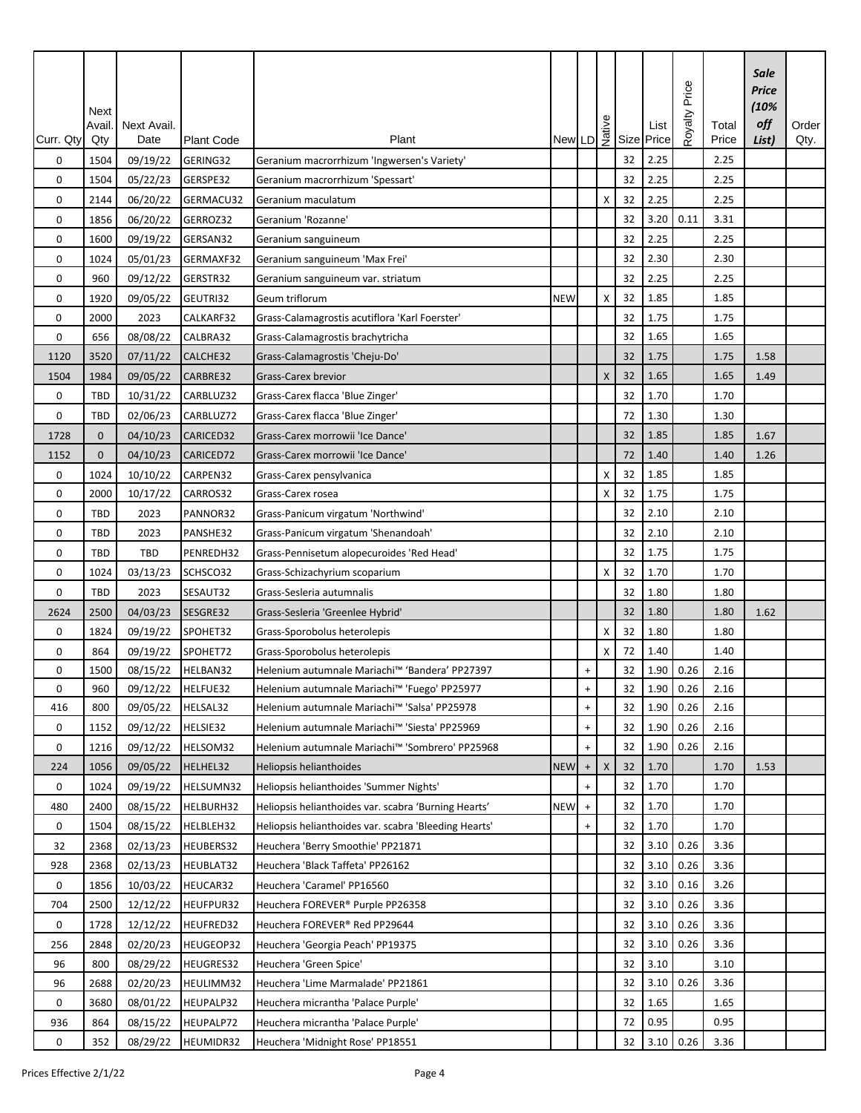| Curr. Qty   | Next<br>Avail.<br>Qty | Next Avail.<br>Date | <b>Plant Code</b> | Plant                                                 |            |                                  |   |          | New LD $\frac{3}{2}$ Size Price | Royalty Price | Total<br>Price | Sale<br>Price<br>(10%<br>off<br>List) | Order<br>Qty. |
|-------------|-----------------------|---------------------|-------------------|-------------------------------------------------------|------------|----------------------------------|---|----------|---------------------------------|---------------|----------------|---------------------------------------|---------------|
|             |                       |                     |                   |                                                       |            |                                  |   |          | 2.25                            |               | 2.25           |                                       |               |
| 0           | 1504                  | 09/19/22            | GERING32          | Geranium macrorrhizum 'Ingwersen's Variety'           |            |                                  |   | 32<br>32 | 2.25                            |               | 2.25           |                                       |               |
| 0           | 1504                  | 05/22/23            | GERSPE32          | Geranium macrorrhizum 'Spessart'                      |            |                                  |   |          |                                 |               |                |                                       |               |
| 0           | 2144                  | 06/20/22            | GERMACU32         | Geranium maculatum                                    |            |                                  | Χ | 32       | 2.25                            |               | 2.25           |                                       |               |
| 0           | 1856                  | 06/20/22            | GERROZ32          | Geranium 'Rozanne'                                    |            |                                  |   | 32       | 3.20                            | 0.11          | 3.31           |                                       |               |
| 0           | 1600                  | 09/19/22            | GERSAN32          | Geranium sanguineum                                   |            |                                  |   | 32       | 2.25                            |               | 2.25           |                                       |               |
| 0           | 1024                  | 05/01/23            | GERMAXF32         | Geranium sanguineum 'Max Frei'                        |            |                                  |   | 32       | 2.30                            |               | 2.30           |                                       |               |
| $\mathbf 0$ | 960                   | 09/12/22            | GERSTR32          | Geranium sanguineum var. striatum                     |            |                                  |   | 32       | 2.25                            |               | 2.25           |                                       |               |
| 0           | 1920                  | 09/05/22            | GEUTRI32          | Geum triflorum                                        | <b>NEW</b> |                                  | X | 32       | 1.85                            |               | 1.85           |                                       |               |
| 0           | 2000                  | 2023                | CALKARF32         | Grass-Calamagrostis acutiflora 'Karl Foerster'        |            |                                  |   | 32       | 1.75                            |               | 1.75           |                                       |               |
| $\mathbf 0$ | 656                   | 08/08/22            | CALBRA32          | Grass-Calamagrostis brachytricha                      |            |                                  |   | 32       | 1.65                            |               | 1.65           |                                       |               |
| 1120        | 3520                  | 07/11/22            | CALCHE32          | Grass-Calamagrostis 'Cheju-Do'                        |            |                                  |   | 32       | 1.75                            |               | 1.75           | 1.58                                  |               |
| 1504        | 1984                  | 09/05/22            | CARBRE32          | <b>Grass-Carex brevior</b>                            |            |                                  | X | 32       | 1.65                            |               | 1.65           | 1.49                                  |               |
| 0           | TBD                   | 10/31/22            | CARBLUZ32         | Grass-Carex flacca 'Blue Zinger'                      |            |                                  |   | 32       | 1.70                            |               | 1.70           |                                       |               |
| 0           | TBD                   | 02/06/23            | CARBLUZ72         | Grass-Carex flacca 'Blue Zinger'                      |            |                                  |   | 72       | 1.30                            |               | 1.30           |                                       |               |
| 1728        | $\mathbf{0}$          | 04/10/23            | CARICED32         | Grass-Carex morrowii 'Ice Dance'                      |            |                                  |   | 32       | 1.85                            |               | 1.85           | 1.67                                  |               |
| 1152        | $\mathbf{0}$          | 04/10/23            | CARICED72         | Grass-Carex morrowii 'Ice Dance'                      |            |                                  |   | 72       | 1.40                            |               | 1.40           | 1.26                                  |               |
| 0           | 1024                  | 10/10/22            | CARPEN32          | Grass-Carex pensylvanica                              |            |                                  | X | 32       | 1.85                            |               | 1.85           |                                       |               |
| 0           | 2000                  | 10/17/22            | CARROS32          | Grass-Carex rosea                                     |            |                                  | X | 32       | 1.75                            |               | 1.75           |                                       |               |
| 0           | TBD                   | 2023                | PANNOR32          | Grass-Panicum virgatum 'Northwind'                    |            |                                  |   | 32       | 2.10                            |               | 2.10           |                                       |               |
| 0           | <b>TBD</b>            | 2023                | PANSHE32          | Grass-Panicum virgatum 'Shenandoah'                   |            |                                  |   | 32       | 2.10                            |               | 2.10           |                                       |               |
| 0           | TBD                   | TBD                 | PENREDH32         | Grass-Pennisetum alopecuroides 'Red Head'             |            |                                  |   | 32       | 1.75                            |               | 1.75           |                                       |               |
| 0           | 1024                  | 03/13/23            | SCHSCO32          | Grass-Schizachyrium scoparium                         |            |                                  | X | 32       | 1.70                            |               | 1.70           |                                       |               |
| 0           | TBD                   | 2023                | SESAUT32          | Grass-Sesleria autumnalis                             |            |                                  |   | 32       | 1.80                            |               | 1.80           |                                       |               |
| 2624        | 2500                  | 04/03/23            | SESGRE32          | Grass-Sesleria 'Greenlee Hybrid'                      |            |                                  |   | 32       | 1.80                            |               | 1.80           | 1.62                                  |               |
| 0           | 1824                  | 09/19/22            | SPOHET32          | Grass-Sporobolus heterolepis                          |            |                                  | X | 32       | 1.80                            |               | 1.80           |                                       |               |
| 0           | 864                   | 09/19/22            | SPOHET72          | Grass-Sporobolus heterolepis                          |            |                                  | X | 72       | 1.40                            |               | 1.40           |                                       |               |
| 0           | 1500                  | 08/15/22            | HELBAN32          | Helenium autumnale Mariachi™ 'Bandera' PP27397        |            | $\ddot{}$                        |   | 32       | 1.90                            | 0.26          | 2.16           |                                       |               |
| 0           | 960                   | 09/12/22            | HELFUE32          | Helenium autumnale Mariachi™ 'Fuego' PP25977          |            | $\begin{array}{c} + \end{array}$ |   | 32       | 1.90 0.26                       |               | 2.16           |                                       |               |
| 416         | 800                   | 09/05/22            | HELSAL32          | Helenium autumnale Mariachi™ 'Salsa' PP25978          |            | $\ddot{}$                        |   | 32       | 1.90                            | 0.26          | 2.16           |                                       |               |
| 0           | 1152                  | 09/12/22            | HELSIE32          | Helenium autumnale Mariachi™ 'Siesta' PP25969         |            | $\ddot{}$                        |   | 32       | 1.90                            | 0.26          | 2.16           |                                       |               |
| 0           | 1216                  | 09/12/22            | HELSOM32          | Helenium autumnale Mariachi™ 'Sombrero' PP25968       |            | $+$                              |   | 32       | 1.90                            | 0.26          | 2.16           |                                       |               |
| 224         | 1056                  | 09/05/22            | HELHEL32          | Heliopsis helianthoides                               | <b>NEW</b> | $\ddot{}$                        | X | 32       | 1.70                            |               | 1.70           | 1.53                                  |               |
| 0           | 1024                  | 09/19/22            | HELSUMN32         | Heliopsis helianthoides 'Summer Nights'               |            | $\ddot{}$                        |   | 32       | 1.70                            |               | 1.70           |                                       |               |
| 480         | 2400                  | 08/15/22            | HELBURH32         | Heliopsis helianthoides var. scabra 'Burning Hearts'  | <b>NEW</b> | $\begin{array}{c} + \end{array}$ |   | 32       | 1.70                            |               | 1.70           |                                       |               |
| 0           | 1504                  | 08/15/22            | HELBLEH32         | Heliopsis helianthoides var. scabra 'Bleeding Hearts' |            | $\ddot{}$                        |   | 32       | 1.70                            |               | 1.70           |                                       |               |
| 32          | 2368                  | 02/13/23            | HEUBERS32         | Heuchera 'Berry Smoothie' PP21871                     |            |                                  |   | 32       | 3.10                            | 0.26          | 3.36           |                                       |               |
| 928         | 2368                  | 02/13/23            | HEUBLAT32         | Heuchera 'Black Taffeta' PP26162                      |            |                                  |   | 32       | 3.10                            | 0.26          | 3.36           |                                       |               |
| 0           | 1856                  | 10/03/22            | HEUCAR32          | Heuchera 'Caramel' PP16560                            |            |                                  |   | 32       | 3.10                            | 0.16          | 3.26           |                                       |               |
| 704         | 2500                  | 12/12/22            | HEUFPUR32         | Heuchera FOREVER® Purple PP26358                      |            |                                  |   | 32       | 3.10                            | 0.26          | 3.36           |                                       |               |
| 0           | 1728                  | 12/12/22            | HEUFRED32         | Heuchera FOREVER® Red PP29644                         |            |                                  |   | 32       | 3.10                            | 0.26          | 3.36           |                                       |               |
| 256         | 2848                  | 02/20/23            | HEUGEOP32         | Heuchera 'Georgia Peach' PP19375                      |            |                                  |   | 32       | 3.10                            | 0.26          | 3.36           |                                       |               |
| 96          | 800                   | 08/29/22            | HEUGRES32         | Heuchera 'Green Spice'                                |            |                                  |   | 32       | 3.10                            |               | 3.10           |                                       |               |
| 96          | 2688                  | 02/20/23            | HEULIMM32         | Heuchera 'Lime Marmalade' PP21861                     |            |                                  |   | 32       | 3.10                            | 0.26          | 3.36           |                                       |               |
| 0           | 3680                  | 08/01/22            | HEUPALP32         | Heuchera micrantha 'Palace Purple'                    |            |                                  |   | 32       | 1.65                            |               | 1.65           |                                       |               |
| 936         | 864                   | 08/15/22            | HEUPALP72         | Heuchera micrantha 'Palace Purple'                    |            |                                  |   | 72       | 0.95                            |               | 0.95           |                                       |               |
| 0           | 352                   | 08/29/22            | HEUMIDR32         | Heuchera 'Midnight Rose' PP18551                      |            |                                  |   | 32       | $3.10 \ 0.26$                   |               | 3.36           |                                       |               |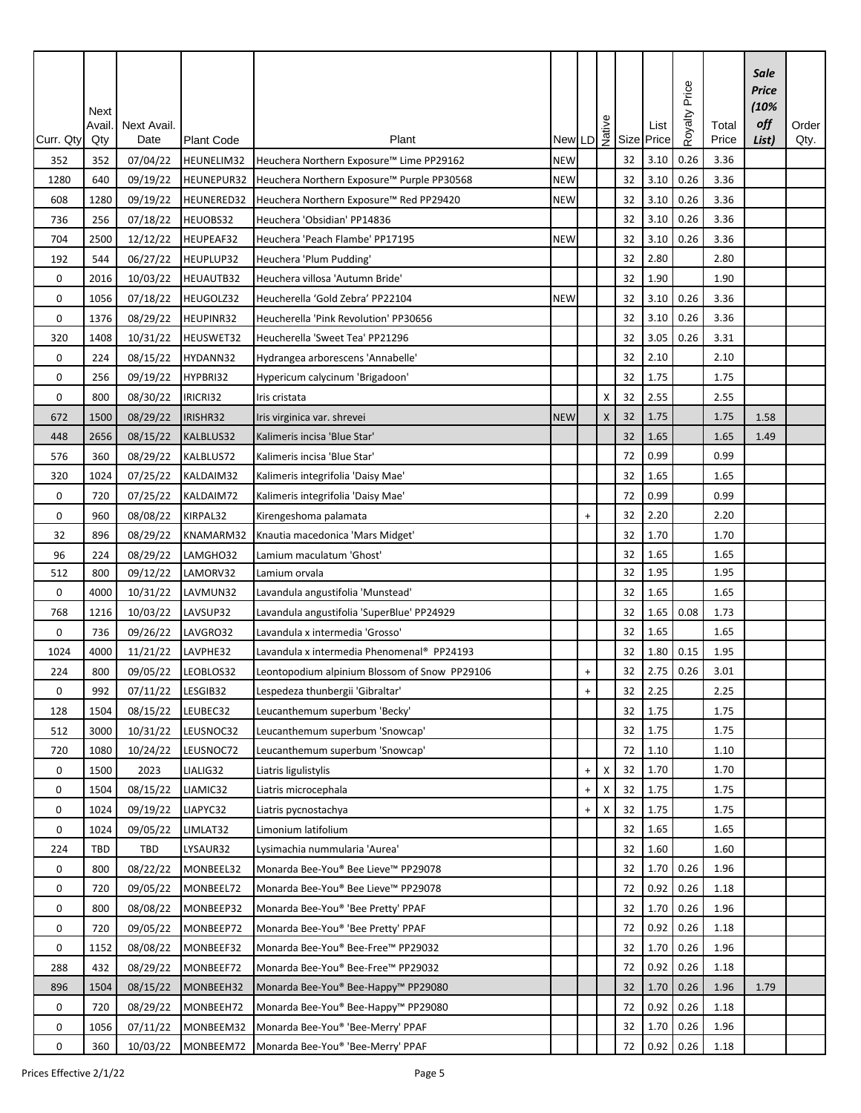| $\begin{array}{c} \begin{array}{c} \circ \\ \downarrow \\ \downarrow \end{array} \\ \begin{array}{c} \mathsf{New} \end{array} \end{array}$ List $\begin{array}{c} \circ \\ \downarrow \\ \mathsf{New} \end{array}$ List Size Price<br>List)<br>Curr. Qty<br>Qty<br><b>Plant Code</b><br>Price<br>3.10<br>0.26<br>07/04/22<br>3.36<br>Heuchera Northern Exposure™ Lime PP29162<br><b>NEW</b><br>32<br>352<br>352<br>HEUNELIM32<br>3.10<br>0.26<br>32<br>3.36<br>1280<br>640<br>09/19/22<br>HEUNEPUR32<br><b>NEW</b><br>Heuchera Northern Exposure™ Purple PP30568<br>3.10<br>0.26<br>3.36<br>608<br>1280<br>09/19/22<br><b>NEW</b><br>32<br>HEUNERED32<br>Heuchera Northern Exposure™ Red PP29420<br>3.10<br>3.36<br>32<br>0.26<br>256<br>07/18/22<br>HEUOBS32<br>736<br>Heuchera 'Obsidian' PP14836<br>3.10<br>0.26<br>704<br>12/12/22<br>HEUPEAF32<br>3.36<br>2500<br>Heuchera 'Peach Flambe' PP17195<br><b>NEW</b><br>32<br>32<br>2.80<br>192<br>544<br>06/27/22<br>HEUPLUP32<br>2.80<br>Heuchera 'Plum Pudding'<br>2016<br>10/03/22<br>HEUAUTB32<br>Heuchera villosa 'Autumn Bride'<br>32<br>1.90<br>1.90<br>0<br>3.10<br>0.26<br>3.36<br>0<br>1056<br>07/18/22<br>HEUGOLZ32<br>Heucherella 'Gold Zebra' PP22104<br>32<br><b>NEW</b><br>3.10<br>0<br>HEUPINR32<br>32<br>0.26<br>3.36<br>1376<br>08/29/22<br>Heucherella 'Pink Revolution' PP30656<br>3.05<br>0.26<br>3.31<br>32<br>320<br>1408<br>10/31/22<br>HEUSWET32<br>Heucherella 'Sweet Tea' PP21296<br>2.10<br>32<br>0<br>08/15/22<br>HYDANN32<br>2.10<br>224<br>Hydrangea arborescens 'Annabelle'<br>32<br>1.75<br>1.75<br>0<br>256<br>09/19/22<br>HYPBRI32<br>Hypericum calycinum 'Brigadoon'<br>32<br>2.55<br>2.55<br>800<br>08/30/22<br>IRICRI32<br>0<br>Iris cristata<br>х<br>32<br>1.75<br>1500<br>08/29/22<br>IRISHR32<br>$\pmb{\times}$<br>1.75<br>672<br>Iris virginica var. shrevei<br><b>NEW</b><br>1.58<br>1.65<br>32<br>08/15/22<br>KALBLUS32<br>1.65<br>1.49<br>448<br>2656<br>Kalimeris incisa 'Blue Star'<br>0.99<br>576<br>360<br>08/29/22<br>KALBLUS72<br>Kalimeris incisa 'Blue Star'<br>72<br>0.99<br>1.65<br>320<br>1024<br>07/25/22<br>KALDAIM32<br>32<br>1.65<br>Kalimeris integrifolia 'Daisy Mae'<br>0.99<br>0<br>07/25/22<br>KALDAIM72<br>72<br>0.99<br>720<br>Kalimeris integrifolia 'Daisy Mae'<br>2.20<br>960<br>08/08/22<br>32<br>2.20<br>0<br>KIRPAL32<br>Kirengeshoma palamata<br>$\ddot{}$<br>1.70<br>32<br>896<br>08/29/22<br>KNAMARM32<br>Knautia macedonica 'Mars Midget'<br>32<br>1.70<br>1.65<br>32<br>1.65<br>08/29/22<br>96<br>224<br>LAMGHO32<br>Lamium maculatum 'Ghost'<br>1.95<br>800<br>32<br>1.95<br>512<br>09/12/22<br>LAMORV32<br>Lamium orvala<br>1.65<br>32<br>1.65<br>0<br>10/31/22<br>LAVMUN32<br>4000<br>Lavandula angustifolia 'Munstead'<br>LAVSUP32<br>10/03/22<br>32<br>1.65<br>0.08<br>1.73<br>768<br>1216<br>Lavandula angustifolia 'SuperBlue' PP24929<br>1.65<br>1.65<br>$\mathbf 0$<br>736<br>09/26/22<br>LAVGRO32<br>32<br>Lavandula x intermedia 'Grosso'<br>1024<br>4000<br>11/21/22<br>LAVPHE32<br>1.80<br>0.15<br>1.95<br>Lavandula x intermedia Phenomenal® PP24193<br>32<br>2.75<br>0.26<br>32<br>3.01<br>224<br>800<br>09/05/22<br>LEOBLOS32<br>Leontopodium alpinium Blossom of Snow PP29106<br>$\ddot{}$<br>2.25<br>992<br>07/11/22<br>LESGIB32<br>Lespedeza thunbergii 'Gibraltar'<br>32<br>2.25<br>0<br>$\begin{array}{c} + \end{array}$<br>32<br>1.75<br>128<br>08/15/22<br>LEUBEC32<br>1.75<br>1504<br>Leucanthemum superbum 'Becky'<br>1.75<br>LEUSNOC32<br>32<br>1.75<br>512<br>3000<br>10/31/22<br>Leucanthemum superbum 'Snowcap'<br>1.10<br>72<br>1.10<br>720<br>1080<br>10/24/22<br>LEUSNOC72<br>Leucanthemum superbum 'Snowcap'<br>1.70<br>32<br>1.70<br>0<br>1500<br>2023<br>LIALIG32<br>х<br>Liatris ligulistylis<br>$\ddot{}$<br>0<br>32<br>1.75<br>1.75<br>1504<br>08/15/22<br>LIAMIC32<br>Liatris microcephala<br>$\ddot{}$<br>х<br>0<br>32<br>1.75<br>1024<br>09/19/22<br>LIAPYC32<br>1.75<br>Liatris pycnostachya<br>$\ddot{}$<br>X<br>1.65<br>0<br>1024<br>09/05/22<br>LIMLAT32<br>Limonium latifolium<br>32<br>1.65<br>LYSAUR32<br>32<br>1.60<br>1.60<br>224<br>TBD<br>TBD<br>Lysimachia nummularia 'Aurea'<br>08/22/22<br>MONBEEL32<br>Monarda Bee-You® Bee Lieve™ PP29078<br>1.70<br>0<br>800<br>32<br>0.26<br>1.96<br>0.92<br>0.26<br>09/05/22<br>MONBEEL72<br>1.18<br>0<br>720<br>Monarda Bee-You® Bee Lieve™ PP29078<br>72<br>1.70<br>0<br>800<br>08/08/22<br>MONBEEP32<br>Monarda Bee-You® 'Bee Pretty' PPAF<br>32<br>0.26<br>1.96<br>0.92<br>72<br>0.26<br>1.18<br>0<br>720<br>09/05/22<br>MONBEEP72<br>Monarda Bee-You® 'Bee Pretty' PPAF<br>1.70<br>08/08/22<br>MONBEEF32<br>0.26<br>1.96<br>0<br>1152<br>Monarda Bee-You® Bee-Free™ PP29032<br>32<br>0.92<br>0.26<br>1.18<br>288<br>432<br>08/29/22<br>MONBEEF72<br>Monarda Bee-You® Bee-Free™ PP29032<br>72<br>1.70<br>0.26<br>1.96<br>08/15/22<br>MONBEEH32<br>Monarda Bee-You® Bee-Happy™ PP29080<br>32<br>896<br>1504<br>1.79<br>0.92<br>0<br>720<br>08/29/22<br>MONBEEH72<br>Monarda Bee-You® Bee-Happy™ PP29080<br>0.26<br>72<br>1.18<br>1.70<br>0.26<br>0<br>MONBEEM32<br>32<br>1.96<br>1056<br>07/11/22<br>Monarda Bee-You® 'Bee-Merry' PPAF |   | Next<br>Avail. | Next Avail.<br>Date |           | Plant                             |  |    |      | Price<br>Royalty | Total | Sale<br><b>Price</b><br>(10%<br>off | Order<br>Qty. |
|----------------------------------------------------------------------------------------------------------------------------------------------------------------------------------------------------------------------------------------------------------------------------------------------------------------------------------------------------------------------------------------------------------------------------------------------------------------------------------------------------------------------------------------------------------------------------------------------------------------------------------------------------------------------------------------------------------------------------------------------------------------------------------------------------------------------------------------------------------------------------------------------------------------------------------------------------------------------------------------------------------------------------------------------------------------------------------------------------------------------------------------------------------------------------------------------------------------------------------------------------------------------------------------------------------------------------------------------------------------------------------------------------------------------------------------------------------------------------------------------------------------------------------------------------------------------------------------------------------------------------------------------------------------------------------------------------------------------------------------------------------------------------------------------------------------------------------------------------------------------------------------------------------------------------------------------------------------------------------------------------------------------------------------------------------------------------------------------------------------------------------------------------------------------------------------------------------------------------------------------------------------------------------------------------------------------------------------------------------------------------------------------------------------------------------------------------------------------------------------------------------------------------------------------------------------------------------------------------------------------------------------------------------------------------------------------------------------------------------------------------------------------------------------------------------------------------------------------------------------------------------------------------------------------------------------------------------------------------------------------------------------------------------------------------------------------------------------------------------------------------------------------------------------------------------------------------------------------------------------------------------------------------------------------------------------------------------------------------------------------------------------------------------------------------------------------------------------------------------------------------------------------------------------------------------------------------------------------------------------------------------------------------------------------------------------------------------------------------------------------------------------------------------------------------------------------------------------------------------------------------------------------------------------------------------------------------------------------------------------------------------------------------------------------------------------------------------------------------------------------------------------------------------------------------------------------------------------------------------------------------------------------------------------------------------------------------------------------------------------------------------------------------------------------------------------------------------------------------------------------------------------------------------------------------------------------------------------------------------------------------------------------------------------------------------------------------------------------------------------------------------------------------------------------------------------------------------------------------------------------------------------------------------------------------------------------------------------------------------------------------------------------------------------------------------------------------------------------------------------------------------------------------------------------|---|----------------|---------------------|-----------|-----------------------------------|--|----|------|------------------|-------|-------------------------------------|---------------|
|                                                                                                                                                                                                                                                                                                                                                                                                                                                                                                                                                                                                                                                                                                                                                                                                                                                                                                                                                                                                                                                                                                                                                                                                                                                                                                                                                                                                                                                                                                                                                                                                                                                                                                                                                                                                                                                                                                                                                                                                                                                                                                                                                                                                                                                                                                                                                                                                                                                                                                                                                                                                                                                                                                                                                                                                                                                                                                                                                                                                                                                                                                                                                                                                                                                                                                                                                                                                                                                                                                                                                                                                                                                                                                                                                                                                                                                                                                                                                                                                                                                                                                                                                                                                                                                                                                                                                                                                                                                                                                                                                                                                                                                                                                                                                                                                                                                                                                                                                                                                                                                                                                                                                                      |   |                |                     |           |                                   |  |    |      |                  |       |                                     |               |
|                                                                                                                                                                                                                                                                                                                                                                                                                                                                                                                                                                                                                                                                                                                                                                                                                                                                                                                                                                                                                                                                                                                                                                                                                                                                                                                                                                                                                                                                                                                                                                                                                                                                                                                                                                                                                                                                                                                                                                                                                                                                                                                                                                                                                                                                                                                                                                                                                                                                                                                                                                                                                                                                                                                                                                                                                                                                                                                                                                                                                                                                                                                                                                                                                                                                                                                                                                                                                                                                                                                                                                                                                                                                                                                                                                                                                                                                                                                                                                                                                                                                                                                                                                                                                                                                                                                                                                                                                                                                                                                                                                                                                                                                                                                                                                                                                                                                                                                                                                                                                                                                                                                                                                      |   |                |                     |           |                                   |  |    |      |                  |       |                                     |               |
|                                                                                                                                                                                                                                                                                                                                                                                                                                                                                                                                                                                                                                                                                                                                                                                                                                                                                                                                                                                                                                                                                                                                                                                                                                                                                                                                                                                                                                                                                                                                                                                                                                                                                                                                                                                                                                                                                                                                                                                                                                                                                                                                                                                                                                                                                                                                                                                                                                                                                                                                                                                                                                                                                                                                                                                                                                                                                                                                                                                                                                                                                                                                                                                                                                                                                                                                                                                                                                                                                                                                                                                                                                                                                                                                                                                                                                                                                                                                                                                                                                                                                                                                                                                                                                                                                                                                                                                                                                                                                                                                                                                                                                                                                                                                                                                                                                                                                                                                                                                                                                                                                                                                                                      |   |                |                     |           |                                   |  |    |      |                  |       |                                     |               |
|                                                                                                                                                                                                                                                                                                                                                                                                                                                                                                                                                                                                                                                                                                                                                                                                                                                                                                                                                                                                                                                                                                                                                                                                                                                                                                                                                                                                                                                                                                                                                                                                                                                                                                                                                                                                                                                                                                                                                                                                                                                                                                                                                                                                                                                                                                                                                                                                                                                                                                                                                                                                                                                                                                                                                                                                                                                                                                                                                                                                                                                                                                                                                                                                                                                                                                                                                                                                                                                                                                                                                                                                                                                                                                                                                                                                                                                                                                                                                                                                                                                                                                                                                                                                                                                                                                                                                                                                                                                                                                                                                                                                                                                                                                                                                                                                                                                                                                                                                                                                                                                                                                                                                                      |   |                |                     |           |                                   |  |    |      |                  |       |                                     |               |
|                                                                                                                                                                                                                                                                                                                                                                                                                                                                                                                                                                                                                                                                                                                                                                                                                                                                                                                                                                                                                                                                                                                                                                                                                                                                                                                                                                                                                                                                                                                                                                                                                                                                                                                                                                                                                                                                                                                                                                                                                                                                                                                                                                                                                                                                                                                                                                                                                                                                                                                                                                                                                                                                                                                                                                                                                                                                                                                                                                                                                                                                                                                                                                                                                                                                                                                                                                                                                                                                                                                                                                                                                                                                                                                                                                                                                                                                                                                                                                                                                                                                                                                                                                                                                                                                                                                                                                                                                                                                                                                                                                                                                                                                                                                                                                                                                                                                                                                                                                                                                                                                                                                                                                      |   |                |                     |           |                                   |  |    |      |                  |       |                                     |               |
|                                                                                                                                                                                                                                                                                                                                                                                                                                                                                                                                                                                                                                                                                                                                                                                                                                                                                                                                                                                                                                                                                                                                                                                                                                                                                                                                                                                                                                                                                                                                                                                                                                                                                                                                                                                                                                                                                                                                                                                                                                                                                                                                                                                                                                                                                                                                                                                                                                                                                                                                                                                                                                                                                                                                                                                                                                                                                                                                                                                                                                                                                                                                                                                                                                                                                                                                                                                                                                                                                                                                                                                                                                                                                                                                                                                                                                                                                                                                                                                                                                                                                                                                                                                                                                                                                                                                                                                                                                                                                                                                                                                                                                                                                                                                                                                                                                                                                                                                                                                                                                                                                                                                                                      |   |                |                     |           |                                   |  |    |      |                  |       |                                     |               |
|                                                                                                                                                                                                                                                                                                                                                                                                                                                                                                                                                                                                                                                                                                                                                                                                                                                                                                                                                                                                                                                                                                                                                                                                                                                                                                                                                                                                                                                                                                                                                                                                                                                                                                                                                                                                                                                                                                                                                                                                                                                                                                                                                                                                                                                                                                                                                                                                                                                                                                                                                                                                                                                                                                                                                                                                                                                                                                                                                                                                                                                                                                                                                                                                                                                                                                                                                                                                                                                                                                                                                                                                                                                                                                                                                                                                                                                                                                                                                                                                                                                                                                                                                                                                                                                                                                                                                                                                                                                                                                                                                                                                                                                                                                                                                                                                                                                                                                                                                                                                                                                                                                                                                                      |   |                |                     |           |                                   |  |    |      |                  |       |                                     |               |
|                                                                                                                                                                                                                                                                                                                                                                                                                                                                                                                                                                                                                                                                                                                                                                                                                                                                                                                                                                                                                                                                                                                                                                                                                                                                                                                                                                                                                                                                                                                                                                                                                                                                                                                                                                                                                                                                                                                                                                                                                                                                                                                                                                                                                                                                                                                                                                                                                                                                                                                                                                                                                                                                                                                                                                                                                                                                                                                                                                                                                                                                                                                                                                                                                                                                                                                                                                                                                                                                                                                                                                                                                                                                                                                                                                                                                                                                                                                                                                                                                                                                                                                                                                                                                                                                                                                                                                                                                                                                                                                                                                                                                                                                                                                                                                                                                                                                                                                                                                                                                                                                                                                                                                      |   |                |                     |           |                                   |  |    |      |                  |       |                                     |               |
|                                                                                                                                                                                                                                                                                                                                                                                                                                                                                                                                                                                                                                                                                                                                                                                                                                                                                                                                                                                                                                                                                                                                                                                                                                                                                                                                                                                                                                                                                                                                                                                                                                                                                                                                                                                                                                                                                                                                                                                                                                                                                                                                                                                                                                                                                                                                                                                                                                                                                                                                                                                                                                                                                                                                                                                                                                                                                                                                                                                                                                                                                                                                                                                                                                                                                                                                                                                                                                                                                                                                                                                                                                                                                                                                                                                                                                                                                                                                                                                                                                                                                                                                                                                                                                                                                                                                                                                                                                                                                                                                                                                                                                                                                                                                                                                                                                                                                                                                                                                                                                                                                                                                                                      |   |                |                     |           |                                   |  |    |      |                  |       |                                     |               |
|                                                                                                                                                                                                                                                                                                                                                                                                                                                                                                                                                                                                                                                                                                                                                                                                                                                                                                                                                                                                                                                                                                                                                                                                                                                                                                                                                                                                                                                                                                                                                                                                                                                                                                                                                                                                                                                                                                                                                                                                                                                                                                                                                                                                                                                                                                                                                                                                                                                                                                                                                                                                                                                                                                                                                                                                                                                                                                                                                                                                                                                                                                                                                                                                                                                                                                                                                                                                                                                                                                                                                                                                                                                                                                                                                                                                                                                                                                                                                                                                                                                                                                                                                                                                                                                                                                                                                                                                                                                                                                                                                                                                                                                                                                                                                                                                                                                                                                                                                                                                                                                                                                                                                                      |   |                |                     |           |                                   |  |    |      |                  |       |                                     |               |
|                                                                                                                                                                                                                                                                                                                                                                                                                                                                                                                                                                                                                                                                                                                                                                                                                                                                                                                                                                                                                                                                                                                                                                                                                                                                                                                                                                                                                                                                                                                                                                                                                                                                                                                                                                                                                                                                                                                                                                                                                                                                                                                                                                                                                                                                                                                                                                                                                                                                                                                                                                                                                                                                                                                                                                                                                                                                                                                                                                                                                                                                                                                                                                                                                                                                                                                                                                                                                                                                                                                                                                                                                                                                                                                                                                                                                                                                                                                                                                                                                                                                                                                                                                                                                                                                                                                                                                                                                                                                                                                                                                                                                                                                                                                                                                                                                                                                                                                                                                                                                                                                                                                                                                      |   |                |                     |           |                                   |  |    |      |                  |       |                                     |               |
|                                                                                                                                                                                                                                                                                                                                                                                                                                                                                                                                                                                                                                                                                                                                                                                                                                                                                                                                                                                                                                                                                                                                                                                                                                                                                                                                                                                                                                                                                                                                                                                                                                                                                                                                                                                                                                                                                                                                                                                                                                                                                                                                                                                                                                                                                                                                                                                                                                                                                                                                                                                                                                                                                                                                                                                                                                                                                                                                                                                                                                                                                                                                                                                                                                                                                                                                                                                                                                                                                                                                                                                                                                                                                                                                                                                                                                                                                                                                                                                                                                                                                                                                                                                                                                                                                                                                                                                                                                                                                                                                                                                                                                                                                                                                                                                                                                                                                                                                                                                                                                                                                                                                                                      |   |                |                     |           |                                   |  |    |      |                  |       |                                     |               |
|                                                                                                                                                                                                                                                                                                                                                                                                                                                                                                                                                                                                                                                                                                                                                                                                                                                                                                                                                                                                                                                                                                                                                                                                                                                                                                                                                                                                                                                                                                                                                                                                                                                                                                                                                                                                                                                                                                                                                                                                                                                                                                                                                                                                                                                                                                                                                                                                                                                                                                                                                                                                                                                                                                                                                                                                                                                                                                                                                                                                                                                                                                                                                                                                                                                                                                                                                                                                                                                                                                                                                                                                                                                                                                                                                                                                                                                                                                                                                                                                                                                                                                                                                                                                                                                                                                                                                                                                                                                                                                                                                                                                                                                                                                                                                                                                                                                                                                                                                                                                                                                                                                                                                                      |   |                |                     |           |                                   |  |    |      |                  |       |                                     |               |
|                                                                                                                                                                                                                                                                                                                                                                                                                                                                                                                                                                                                                                                                                                                                                                                                                                                                                                                                                                                                                                                                                                                                                                                                                                                                                                                                                                                                                                                                                                                                                                                                                                                                                                                                                                                                                                                                                                                                                                                                                                                                                                                                                                                                                                                                                                                                                                                                                                                                                                                                                                                                                                                                                                                                                                                                                                                                                                                                                                                                                                                                                                                                                                                                                                                                                                                                                                                                                                                                                                                                                                                                                                                                                                                                                                                                                                                                                                                                                                                                                                                                                                                                                                                                                                                                                                                                                                                                                                                                                                                                                                                                                                                                                                                                                                                                                                                                                                                                                                                                                                                                                                                                                                      |   |                |                     |           |                                   |  |    |      |                  |       |                                     |               |
|                                                                                                                                                                                                                                                                                                                                                                                                                                                                                                                                                                                                                                                                                                                                                                                                                                                                                                                                                                                                                                                                                                                                                                                                                                                                                                                                                                                                                                                                                                                                                                                                                                                                                                                                                                                                                                                                                                                                                                                                                                                                                                                                                                                                                                                                                                                                                                                                                                                                                                                                                                                                                                                                                                                                                                                                                                                                                                                                                                                                                                                                                                                                                                                                                                                                                                                                                                                                                                                                                                                                                                                                                                                                                                                                                                                                                                                                                                                                                                                                                                                                                                                                                                                                                                                                                                                                                                                                                                                                                                                                                                                                                                                                                                                                                                                                                                                                                                                                                                                                                                                                                                                                                                      |   |                |                     |           |                                   |  |    |      |                  |       |                                     |               |
|                                                                                                                                                                                                                                                                                                                                                                                                                                                                                                                                                                                                                                                                                                                                                                                                                                                                                                                                                                                                                                                                                                                                                                                                                                                                                                                                                                                                                                                                                                                                                                                                                                                                                                                                                                                                                                                                                                                                                                                                                                                                                                                                                                                                                                                                                                                                                                                                                                                                                                                                                                                                                                                                                                                                                                                                                                                                                                                                                                                                                                                                                                                                                                                                                                                                                                                                                                                                                                                                                                                                                                                                                                                                                                                                                                                                                                                                                                                                                                                                                                                                                                                                                                                                                                                                                                                                                                                                                                                                                                                                                                                                                                                                                                                                                                                                                                                                                                                                                                                                                                                                                                                                                                      |   |                |                     |           |                                   |  |    |      |                  |       |                                     |               |
|                                                                                                                                                                                                                                                                                                                                                                                                                                                                                                                                                                                                                                                                                                                                                                                                                                                                                                                                                                                                                                                                                                                                                                                                                                                                                                                                                                                                                                                                                                                                                                                                                                                                                                                                                                                                                                                                                                                                                                                                                                                                                                                                                                                                                                                                                                                                                                                                                                                                                                                                                                                                                                                                                                                                                                                                                                                                                                                                                                                                                                                                                                                                                                                                                                                                                                                                                                                                                                                                                                                                                                                                                                                                                                                                                                                                                                                                                                                                                                                                                                                                                                                                                                                                                                                                                                                                                                                                                                                                                                                                                                                                                                                                                                                                                                                                                                                                                                                                                                                                                                                                                                                                                                      |   |                |                     |           |                                   |  |    |      |                  |       |                                     |               |
|                                                                                                                                                                                                                                                                                                                                                                                                                                                                                                                                                                                                                                                                                                                                                                                                                                                                                                                                                                                                                                                                                                                                                                                                                                                                                                                                                                                                                                                                                                                                                                                                                                                                                                                                                                                                                                                                                                                                                                                                                                                                                                                                                                                                                                                                                                                                                                                                                                                                                                                                                                                                                                                                                                                                                                                                                                                                                                                                                                                                                                                                                                                                                                                                                                                                                                                                                                                                                                                                                                                                                                                                                                                                                                                                                                                                                                                                                                                                                                                                                                                                                                                                                                                                                                                                                                                                                                                                                                                                                                                                                                                                                                                                                                                                                                                                                                                                                                                                                                                                                                                                                                                                                                      |   |                |                     |           |                                   |  |    |      |                  |       |                                     |               |
|                                                                                                                                                                                                                                                                                                                                                                                                                                                                                                                                                                                                                                                                                                                                                                                                                                                                                                                                                                                                                                                                                                                                                                                                                                                                                                                                                                                                                                                                                                                                                                                                                                                                                                                                                                                                                                                                                                                                                                                                                                                                                                                                                                                                                                                                                                                                                                                                                                                                                                                                                                                                                                                                                                                                                                                                                                                                                                                                                                                                                                                                                                                                                                                                                                                                                                                                                                                                                                                                                                                                                                                                                                                                                                                                                                                                                                                                                                                                                                                                                                                                                                                                                                                                                                                                                                                                                                                                                                                                                                                                                                                                                                                                                                                                                                                                                                                                                                                                                                                                                                                                                                                                                                      |   |                |                     |           |                                   |  |    |      |                  |       |                                     |               |
|                                                                                                                                                                                                                                                                                                                                                                                                                                                                                                                                                                                                                                                                                                                                                                                                                                                                                                                                                                                                                                                                                                                                                                                                                                                                                                                                                                                                                                                                                                                                                                                                                                                                                                                                                                                                                                                                                                                                                                                                                                                                                                                                                                                                                                                                                                                                                                                                                                                                                                                                                                                                                                                                                                                                                                                                                                                                                                                                                                                                                                                                                                                                                                                                                                                                                                                                                                                                                                                                                                                                                                                                                                                                                                                                                                                                                                                                                                                                                                                                                                                                                                                                                                                                                                                                                                                                                                                                                                                                                                                                                                                                                                                                                                                                                                                                                                                                                                                                                                                                                                                                                                                                                                      |   |                |                     |           |                                   |  |    |      |                  |       |                                     |               |
|                                                                                                                                                                                                                                                                                                                                                                                                                                                                                                                                                                                                                                                                                                                                                                                                                                                                                                                                                                                                                                                                                                                                                                                                                                                                                                                                                                                                                                                                                                                                                                                                                                                                                                                                                                                                                                                                                                                                                                                                                                                                                                                                                                                                                                                                                                                                                                                                                                                                                                                                                                                                                                                                                                                                                                                                                                                                                                                                                                                                                                                                                                                                                                                                                                                                                                                                                                                                                                                                                                                                                                                                                                                                                                                                                                                                                                                                                                                                                                                                                                                                                                                                                                                                                                                                                                                                                                                                                                                                                                                                                                                                                                                                                                                                                                                                                                                                                                                                                                                                                                                                                                                                                                      |   |                |                     |           |                                   |  |    |      |                  |       |                                     |               |
|                                                                                                                                                                                                                                                                                                                                                                                                                                                                                                                                                                                                                                                                                                                                                                                                                                                                                                                                                                                                                                                                                                                                                                                                                                                                                                                                                                                                                                                                                                                                                                                                                                                                                                                                                                                                                                                                                                                                                                                                                                                                                                                                                                                                                                                                                                                                                                                                                                                                                                                                                                                                                                                                                                                                                                                                                                                                                                                                                                                                                                                                                                                                                                                                                                                                                                                                                                                                                                                                                                                                                                                                                                                                                                                                                                                                                                                                                                                                                                                                                                                                                                                                                                                                                                                                                                                                                                                                                                                                                                                                                                                                                                                                                                                                                                                                                                                                                                                                                                                                                                                                                                                                                                      |   |                |                     |           |                                   |  |    |      |                  |       |                                     |               |
|                                                                                                                                                                                                                                                                                                                                                                                                                                                                                                                                                                                                                                                                                                                                                                                                                                                                                                                                                                                                                                                                                                                                                                                                                                                                                                                                                                                                                                                                                                                                                                                                                                                                                                                                                                                                                                                                                                                                                                                                                                                                                                                                                                                                                                                                                                                                                                                                                                                                                                                                                                                                                                                                                                                                                                                                                                                                                                                                                                                                                                                                                                                                                                                                                                                                                                                                                                                                                                                                                                                                                                                                                                                                                                                                                                                                                                                                                                                                                                                                                                                                                                                                                                                                                                                                                                                                                                                                                                                                                                                                                                                                                                                                                                                                                                                                                                                                                                                                                                                                                                                                                                                                                                      |   |                |                     |           |                                   |  |    |      |                  |       |                                     |               |
|                                                                                                                                                                                                                                                                                                                                                                                                                                                                                                                                                                                                                                                                                                                                                                                                                                                                                                                                                                                                                                                                                                                                                                                                                                                                                                                                                                                                                                                                                                                                                                                                                                                                                                                                                                                                                                                                                                                                                                                                                                                                                                                                                                                                                                                                                                                                                                                                                                                                                                                                                                                                                                                                                                                                                                                                                                                                                                                                                                                                                                                                                                                                                                                                                                                                                                                                                                                                                                                                                                                                                                                                                                                                                                                                                                                                                                                                                                                                                                                                                                                                                                                                                                                                                                                                                                                                                                                                                                                                                                                                                                                                                                                                                                                                                                                                                                                                                                                                                                                                                                                                                                                                                                      |   |                |                     |           |                                   |  |    |      |                  |       |                                     |               |
|                                                                                                                                                                                                                                                                                                                                                                                                                                                                                                                                                                                                                                                                                                                                                                                                                                                                                                                                                                                                                                                                                                                                                                                                                                                                                                                                                                                                                                                                                                                                                                                                                                                                                                                                                                                                                                                                                                                                                                                                                                                                                                                                                                                                                                                                                                                                                                                                                                                                                                                                                                                                                                                                                                                                                                                                                                                                                                                                                                                                                                                                                                                                                                                                                                                                                                                                                                                                                                                                                                                                                                                                                                                                                                                                                                                                                                                                                                                                                                                                                                                                                                                                                                                                                                                                                                                                                                                                                                                                                                                                                                                                                                                                                                                                                                                                                                                                                                                                                                                                                                                                                                                                                                      |   |                |                     |           |                                   |  |    |      |                  |       |                                     |               |
|                                                                                                                                                                                                                                                                                                                                                                                                                                                                                                                                                                                                                                                                                                                                                                                                                                                                                                                                                                                                                                                                                                                                                                                                                                                                                                                                                                                                                                                                                                                                                                                                                                                                                                                                                                                                                                                                                                                                                                                                                                                                                                                                                                                                                                                                                                                                                                                                                                                                                                                                                                                                                                                                                                                                                                                                                                                                                                                                                                                                                                                                                                                                                                                                                                                                                                                                                                                                                                                                                                                                                                                                                                                                                                                                                                                                                                                                                                                                                                                                                                                                                                                                                                                                                                                                                                                                                                                                                                                                                                                                                                                                                                                                                                                                                                                                                                                                                                                                                                                                                                                                                                                                                                      |   |                |                     |           |                                   |  |    |      |                  |       |                                     |               |
|                                                                                                                                                                                                                                                                                                                                                                                                                                                                                                                                                                                                                                                                                                                                                                                                                                                                                                                                                                                                                                                                                                                                                                                                                                                                                                                                                                                                                                                                                                                                                                                                                                                                                                                                                                                                                                                                                                                                                                                                                                                                                                                                                                                                                                                                                                                                                                                                                                                                                                                                                                                                                                                                                                                                                                                                                                                                                                                                                                                                                                                                                                                                                                                                                                                                                                                                                                                                                                                                                                                                                                                                                                                                                                                                                                                                                                                                                                                                                                                                                                                                                                                                                                                                                                                                                                                                                                                                                                                                                                                                                                                                                                                                                                                                                                                                                                                                                                                                                                                                                                                                                                                                                                      |   |                |                     |           |                                   |  |    |      |                  |       |                                     |               |
|                                                                                                                                                                                                                                                                                                                                                                                                                                                                                                                                                                                                                                                                                                                                                                                                                                                                                                                                                                                                                                                                                                                                                                                                                                                                                                                                                                                                                                                                                                                                                                                                                                                                                                                                                                                                                                                                                                                                                                                                                                                                                                                                                                                                                                                                                                                                                                                                                                                                                                                                                                                                                                                                                                                                                                                                                                                                                                                                                                                                                                                                                                                                                                                                                                                                                                                                                                                                                                                                                                                                                                                                                                                                                                                                                                                                                                                                                                                                                                                                                                                                                                                                                                                                                                                                                                                                                                                                                                                                                                                                                                                                                                                                                                                                                                                                                                                                                                                                                                                                                                                                                                                                                                      |   |                |                     |           |                                   |  |    |      |                  |       |                                     |               |
|                                                                                                                                                                                                                                                                                                                                                                                                                                                                                                                                                                                                                                                                                                                                                                                                                                                                                                                                                                                                                                                                                                                                                                                                                                                                                                                                                                                                                                                                                                                                                                                                                                                                                                                                                                                                                                                                                                                                                                                                                                                                                                                                                                                                                                                                                                                                                                                                                                                                                                                                                                                                                                                                                                                                                                                                                                                                                                                                                                                                                                                                                                                                                                                                                                                                                                                                                                                                                                                                                                                                                                                                                                                                                                                                                                                                                                                                                                                                                                                                                                                                                                                                                                                                                                                                                                                                                                                                                                                                                                                                                                                                                                                                                                                                                                                                                                                                                                                                                                                                                                                                                                                                                                      |   |                |                     |           |                                   |  |    |      |                  |       |                                     |               |
|                                                                                                                                                                                                                                                                                                                                                                                                                                                                                                                                                                                                                                                                                                                                                                                                                                                                                                                                                                                                                                                                                                                                                                                                                                                                                                                                                                                                                                                                                                                                                                                                                                                                                                                                                                                                                                                                                                                                                                                                                                                                                                                                                                                                                                                                                                                                                                                                                                                                                                                                                                                                                                                                                                                                                                                                                                                                                                                                                                                                                                                                                                                                                                                                                                                                                                                                                                                                                                                                                                                                                                                                                                                                                                                                                                                                                                                                                                                                                                                                                                                                                                                                                                                                                                                                                                                                                                                                                                                                                                                                                                                                                                                                                                                                                                                                                                                                                                                                                                                                                                                                                                                                                                      |   |                |                     |           |                                   |  |    |      |                  |       |                                     |               |
|                                                                                                                                                                                                                                                                                                                                                                                                                                                                                                                                                                                                                                                                                                                                                                                                                                                                                                                                                                                                                                                                                                                                                                                                                                                                                                                                                                                                                                                                                                                                                                                                                                                                                                                                                                                                                                                                                                                                                                                                                                                                                                                                                                                                                                                                                                                                                                                                                                                                                                                                                                                                                                                                                                                                                                                                                                                                                                                                                                                                                                                                                                                                                                                                                                                                                                                                                                                                                                                                                                                                                                                                                                                                                                                                                                                                                                                                                                                                                                                                                                                                                                                                                                                                                                                                                                                                                                                                                                                                                                                                                                                                                                                                                                                                                                                                                                                                                                                                                                                                                                                                                                                                                                      |   |                |                     |           |                                   |  |    |      |                  |       |                                     |               |
|                                                                                                                                                                                                                                                                                                                                                                                                                                                                                                                                                                                                                                                                                                                                                                                                                                                                                                                                                                                                                                                                                                                                                                                                                                                                                                                                                                                                                                                                                                                                                                                                                                                                                                                                                                                                                                                                                                                                                                                                                                                                                                                                                                                                                                                                                                                                                                                                                                                                                                                                                                                                                                                                                                                                                                                                                                                                                                                                                                                                                                                                                                                                                                                                                                                                                                                                                                                                                                                                                                                                                                                                                                                                                                                                                                                                                                                                                                                                                                                                                                                                                                                                                                                                                                                                                                                                                                                                                                                                                                                                                                                                                                                                                                                                                                                                                                                                                                                                                                                                                                                                                                                                                                      |   |                |                     |           |                                   |  |    |      |                  |       |                                     |               |
|                                                                                                                                                                                                                                                                                                                                                                                                                                                                                                                                                                                                                                                                                                                                                                                                                                                                                                                                                                                                                                                                                                                                                                                                                                                                                                                                                                                                                                                                                                                                                                                                                                                                                                                                                                                                                                                                                                                                                                                                                                                                                                                                                                                                                                                                                                                                                                                                                                                                                                                                                                                                                                                                                                                                                                                                                                                                                                                                                                                                                                                                                                                                                                                                                                                                                                                                                                                                                                                                                                                                                                                                                                                                                                                                                                                                                                                                                                                                                                                                                                                                                                                                                                                                                                                                                                                                                                                                                                                                                                                                                                                                                                                                                                                                                                                                                                                                                                                                                                                                                                                                                                                                                                      |   |                |                     |           |                                   |  |    |      |                  |       |                                     |               |
|                                                                                                                                                                                                                                                                                                                                                                                                                                                                                                                                                                                                                                                                                                                                                                                                                                                                                                                                                                                                                                                                                                                                                                                                                                                                                                                                                                                                                                                                                                                                                                                                                                                                                                                                                                                                                                                                                                                                                                                                                                                                                                                                                                                                                                                                                                                                                                                                                                                                                                                                                                                                                                                                                                                                                                                                                                                                                                                                                                                                                                                                                                                                                                                                                                                                                                                                                                                                                                                                                                                                                                                                                                                                                                                                                                                                                                                                                                                                                                                                                                                                                                                                                                                                                                                                                                                                                                                                                                                                                                                                                                                                                                                                                                                                                                                                                                                                                                                                                                                                                                                                                                                                                                      |   |                |                     |           |                                   |  |    |      |                  |       |                                     |               |
|                                                                                                                                                                                                                                                                                                                                                                                                                                                                                                                                                                                                                                                                                                                                                                                                                                                                                                                                                                                                                                                                                                                                                                                                                                                                                                                                                                                                                                                                                                                                                                                                                                                                                                                                                                                                                                                                                                                                                                                                                                                                                                                                                                                                                                                                                                                                                                                                                                                                                                                                                                                                                                                                                                                                                                                                                                                                                                                                                                                                                                                                                                                                                                                                                                                                                                                                                                                                                                                                                                                                                                                                                                                                                                                                                                                                                                                                                                                                                                                                                                                                                                                                                                                                                                                                                                                                                                                                                                                                                                                                                                                                                                                                                                                                                                                                                                                                                                                                                                                                                                                                                                                                                                      |   |                |                     |           |                                   |  |    |      |                  |       |                                     |               |
|                                                                                                                                                                                                                                                                                                                                                                                                                                                                                                                                                                                                                                                                                                                                                                                                                                                                                                                                                                                                                                                                                                                                                                                                                                                                                                                                                                                                                                                                                                                                                                                                                                                                                                                                                                                                                                                                                                                                                                                                                                                                                                                                                                                                                                                                                                                                                                                                                                                                                                                                                                                                                                                                                                                                                                                                                                                                                                                                                                                                                                                                                                                                                                                                                                                                                                                                                                                                                                                                                                                                                                                                                                                                                                                                                                                                                                                                                                                                                                                                                                                                                                                                                                                                                                                                                                                                                                                                                                                                                                                                                                                                                                                                                                                                                                                                                                                                                                                                                                                                                                                                                                                                                                      |   |                |                     |           |                                   |  |    |      |                  |       |                                     |               |
|                                                                                                                                                                                                                                                                                                                                                                                                                                                                                                                                                                                                                                                                                                                                                                                                                                                                                                                                                                                                                                                                                                                                                                                                                                                                                                                                                                                                                                                                                                                                                                                                                                                                                                                                                                                                                                                                                                                                                                                                                                                                                                                                                                                                                                                                                                                                                                                                                                                                                                                                                                                                                                                                                                                                                                                                                                                                                                                                                                                                                                                                                                                                                                                                                                                                                                                                                                                                                                                                                                                                                                                                                                                                                                                                                                                                                                                                                                                                                                                                                                                                                                                                                                                                                                                                                                                                                                                                                                                                                                                                                                                                                                                                                                                                                                                                                                                                                                                                                                                                                                                                                                                                                                      |   |                |                     |           |                                   |  |    |      |                  |       |                                     |               |
|                                                                                                                                                                                                                                                                                                                                                                                                                                                                                                                                                                                                                                                                                                                                                                                                                                                                                                                                                                                                                                                                                                                                                                                                                                                                                                                                                                                                                                                                                                                                                                                                                                                                                                                                                                                                                                                                                                                                                                                                                                                                                                                                                                                                                                                                                                                                                                                                                                                                                                                                                                                                                                                                                                                                                                                                                                                                                                                                                                                                                                                                                                                                                                                                                                                                                                                                                                                                                                                                                                                                                                                                                                                                                                                                                                                                                                                                                                                                                                                                                                                                                                                                                                                                                                                                                                                                                                                                                                                                                                                                                                                                                                                                                                                                                                                                                                                                                                                                                                                                                                                                                                                                                                      |   |                |                     |           |                                   |  |    |      |                  |       |                                     |               |
|                                                                                                                                                                                                                                                                                                                                                                                                                                                                                                                                                                                                                                                                                                                                                                                                                                                                                                                                                                                                                                                                                                                                                                                                                                                                                                                                                                                                                                                                                                                                                                                                                                                                                                                                                                                                                                                                                                                                                                                                                                                                                                                                                                                                                                                                                                                                                                                                                                                                                                                                                                                                                                                                                                                                                                                                                                                                                                                                                                                                                                                                                                                                                                                                                                                                                                                                                                                                                                                                                                                                                                                                                                                                                                                                                                                                                                                                                                                                                                                                                                                                                                                                                                                                                                                                                                                                                                                                                                                                                                                                                                                                                                                                                                                                                                                                                                                                                                                                                                                                                                                                                                                                                                      |   |                |                     |           |                                   |  |    |      |                  |       |                                     |               |
|                                                                                                                                                                                                                                                                                                                                                                                                                                                                                                                                                                                                                                                                                                                                                                                                                                                                                                                                                                                                                                                                                                                                                                                                                                                                                                                                                                                                                                                                                                                                                                                                                                                                                                                                                                                                                                                                                                                                                                                                                                                                                                                                                                                                                                                                                                                                                                                                                                                                                                                                                                                                                                                                                                                                                                                                                                                                                                                                                                                                                                                                                                                                                                                                                                                                                                                                                                                                                                                                                                                                                                                                                                                                                                                                                                                                                                                                                                                                                                                                                                                                                                                                                                                                                                                                                                                                                                                                                                                                                                                                                                                                                                                                                                                                                                                                                                                                                                                                                                                                                                                                                                                                                                      |   |                |                     |           |                                   |  |    |      |                  |       |                                     |               |
|                                                                                                                                                                                                                                                                                                                                                                                                                                                                                                                                                                                                                                                                                                                                                                                                                                                                                                                                                                                                                                                                                                                                                                                                                                                                                                                                                                                                                                                                                                                                                                                                                                                                                                                                                                                                                                                                                                                                                                                                                                                                                                                                                                                                                                                                                                                                                                                                                                                                                                                                                                                                                                                                                                                                                                                                                                                                                                                                                                                                                                                                                                                                                                                                                                                                                                                                                                                                                                                                                                                                                                                                                                                                                                                                                                                                                                                                                                                                                                                                                                                                                                                                                                                                                                                                                                                                                                                                                                                                                                                                                                                                                                                                                                                                                                                                                                                                                                                                                                                                                                                                                                                                                                      |   |                |                     |           |                                   |  |    |      |                  |       |                                     |               |
|                                                                                                                                                                                                                                                                                                                                                                                                                                                                                                                                                                                                                                                                                                                                                                                                                                                                                                                                                                                                                                                                                                                                                                                                                                                                                                                                                                                                                                                                                                                                                                                                                                                                                                                                                                                                                                                                                                                                                                                                                                                                                                                                                                                                                                                                                                                                                                                                                                                                                                                                                                                                                                                                                                                                                                                                                                                                                                                                                                                                                                                                                                                                                                                                                                                                                                                                                                                                                                                                                                                                                                                                                                                                                                                                                                                                                                                                                                                                                                                                                                                                                                                                                                                                                                                                                                                                                                                                                                                                                                                                                                                                                                                                                                                                                                                                                                                                                                                                                                                                                                                                                                                                                                      |   |                |                     |           |                                   |  |    |      |                  |       |                                     |               |
|                                                                                                                                                                                                                                                                                                                                                                                                                                                                                                                                                                                                                                                                                                                                                                                                                                                                                                                                                                                                                                                                                                                                                                                                                                                                                                                                                                                                                                                                                                                                                                                                                                                                                                                                                                                                                                                                                                                                                                                                                                                                                                                                                                                                                                                                                                                                                                                                                                                                                                                                                                                                                                                                                                                                                                                                                                                                                                                                                                                                                                                                                                                                                                                                                                                                                                                                                                                                                                                                                                                                                                                                                                                                                                                                                                                                                                                                                                                                                                                                                                                                                                                                                                                                                                                                                                                                                                                                                                                                                                                                                                                                                                                                                                                                                                                                                                                                                                                                                                                                                                                                                                                                                                      |   |                |                     |           |                                   |  |    |      |                  |       |                                     |               |
|                                                                                                                                                                                                                                                                                                                                                                                                                                                                                                                                                                                                                                                                                                                                                                                                                                                                                                                                                                                                                                                                                                                                                                                                                                                                                                                                                                                                                                                                                                                                                                                                                                                                                                                                                                                                                                                                                                                                                                                                                                                                                                                                                                                                                                                                                                                                                                                                                                                                                                                                                                                                                                                                                                                                                                                                                                                                                                                                                                                                                                                                                                                                                                                                                                                                                                                                                                                                                                                                                                                                                                                                                                                                                                                                                                                                                                                                                                                                                                                                                                                                                                                                                                                                                                                                                                                                                                                                                                                                                                                                                                                                                                                                                                                                                                                                                                                                                                                                                                                                                                                                                                                                                                      |   |                |                     |           |                                   |  |    |      |                  |       |                                     |               |
|                                                                                                                                                                                                                                                                                                                                                                                                                                                                                                                                                                                                                                                                                                                                                                                                                                                                                                                                                                                                                                                                                                                                                                                                                                                                                                                                                                                                                                                                                                                                                                                                                                                                                                                                                                                                                                                                                                                                                                                                                                                                                                                                                                                                                                                                                                                                                                                                                                                                                                                                                                                                                                                                                                                                                                                                                                                                                                                                                                                                                                                                                                                                                                                                                                                                                                                                                                                                                                                                                                                                                                                                                                                                                                                                                                                                                                                                                                                                                                                                                                                                                                                                                                                                                                                                                                                                                                                                                                                                                                                                                                                                                                                                                                                                                                                                                                                                                                                                                                                                                                                                                                                                                                      |   |                |                     |           |                                   |  |    |      |                  |       |                                     |               |
|                                                                                                                                                                                                                                                                                                                                                                                                                                                                                                                                                                                                                                                                                                                                                                                                                                                                                                                                                                                                                                                                                                                                                                                                                                                                                                                                                                                                                                                                                                                                                                                                                                                                                                                                                                                                                                                                                                                                                                                                                                                                                                                                                                                                                                                                                                                                                                                                                                                                                                                                                                                                                                                                                                                                                                                                                                                                                                                                                                                                                                                                                                                                                                                                                                                                                                                                                                                                                                                                                                                                                                                                                                                                                                                                                                                                                                                                                                                                                                                                                                                                                                                                                                                                                                                                                                                                                                                                                                                                                                                                                                                                                                                                                                                                                                                                                                                                                                                                                                                                                                                                                                                                                                      |   |                |                     |           |                                   |  |    |      |                  |       |                                     |               |
|                                                                                                                                                                                                                                                                                                                                                                                                                                                                                                                                                                                                                                                                                                                                                                                                                                                                                                                                                                                                                                                                                                                                                                                                                                                                                                                                                                                                                                                                                                                                                                                                                                                                                                                                                                                                                                                                                                                                                                                                                                                                                                                                                                                                                                                                                                                                                                                                                                                                                                                                                                                                                                                                                                                                                                                                                                                                                                                                                                                                                                                                                                                                                                                                                                                                                                                                                                                                                                                                                                                                                                                                                                                                                                                                                                                                                                                                                                                                                                                                                                                                                                                                                                                                                                                                                                                                                                                                                                                                                                                                                                                                                                                                                                                                                                                                                                                                                                                                                                                                                                                                                                                                                                      | 0 | 360            | 10/03/22            | MONBEEM72 | Monarda Bee-You® 'Bee-Merry' PPAF |  | 72 | 0.92 | 0.26             | 1.18  |                                     |               |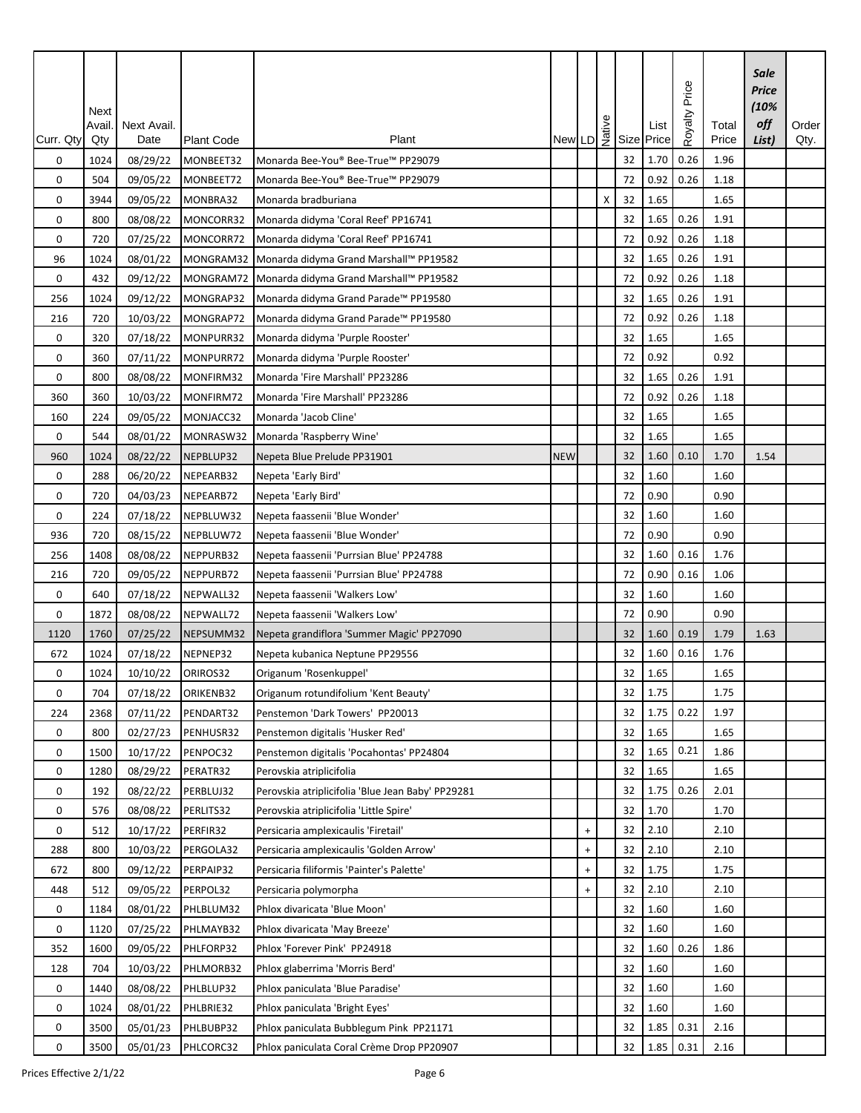|             | Next<br>Avail. | Next Avail. |                   |                                                   | $\begin{array}{c} \n\frac{9}{2} \\ \n\end{array}$ New LD $\begin{array}{c} 9 \\ \n\frac{1}{2} \\ \n\end{array}$ Size |                                  |   |    | List  | Price<br>Royalty | Total | Sale<br><b>Price</b><br>(10%<br>off | Order |
|-------------|----------------|-------------|-------------------|---------------------------------------------------|----------------------------------------------------------------------------------------------------------------------|----------------------------------|---|----|-------|------------------|-------|-------------------------------------|-------|
| Curr. Qty   | Qty            | Date        | <b>Plant Code</b> | Plant                                             |                                                                                                                      |                                  |   |    | Price |                  | Price | List)                               | Qty.  |
| 0           | 1024           | 08/29/22    | MONBEET32         | Monarda Bee-You® Bee-True™ PP29079                |                                                                                                                      |                                  |   | 32 | 1.70  | 0.26             | 1.96  |                                     |       |
| 0           | 504            | 09/05/22    | MONBEET72         | Monarda Bee-You® Bee-True™ PP29079                |                                                                                                                      |                                  |   | 72 | 0.92  | 0.26             | 1.18  |                                     |       |
| 0           | 3944           | 09/05/22    | MONBRA32          | Monarda bradburiana                               |                                                                                                                      |                                  | X | 32 | 1.65  |                  | 1.65  |                                     |       |
| 0           | 800            | 08/08/22    | MONCORR32         | Monarda didyma 'Coral Reef' PP16741               |                                                                                                                      |                                  |   | 32 | 1.65  | 0.26             | 1.91  |                                     |       |
| 0           | 720            | 07/25/22    | MONCORR72         | Monarda didyma 'Coral Reef' PP16741               |                                                                                                                      |                                  |   | 72 | 0.92  | 0.26             | 1.18  |                                     |       |
| 96          | 1024           | 08/01/22    | MONGRAM32         | Monarda didyma Grand Marshall™ PP19582            |                                                                                                                      |                                  |   | 32 | 1.65  | 0.26             | 1.91  |                                     |       |
| 0           | 432            | 09/12/22    | MONGRAM72         | Monarda didyma Grand Marshall™ PP19582            |                                                                                                                      |                                  |   | 72 | 0.92  | 0.26             | 1.18  |                                     |       |
| 256         | 1024           | 09/12/22    | MONGRAP32         | Monarda didyma Grand Parade™ PP19580              |                                                                                                                      |                                  |   | 32 | 1.65  | 0.26             | 1.91  |                                     |       |
| 216         | 720            | 10/03/22    | MONGRAP72         | Monarda didyma Grand Parade™ PP19580              |                                                                                                                      |                                  |   | 72 | 0.92  | 0.26             | 1.18  |                                     |       |
| 0           | 320            | 07/18/22    | MONPURR32         | Monarda didyma 'Purple Rooster'                   |                                                                                                                      |                                  |   | 32 | 1.65  |                  | 1.65  |                                     |       |
| 0           | 360            | 07/11/22    | MONPURR72         | Monarda didyma 'Purple Rooster'                   |                                                                                                                      |                                  |   | 72 | 0.92  |                  | 0.92  |                                     |       |
| $\mathbf 0$ | 800            | 08/08/22    | MONFIRM32         | Monarda 'Fire Marshall' PP23286                   |                                                                                                                      |                                  |   | 32 | 1.65  | 0.26             | 1.91  |                                     |       |
| 360         | 360            | 10/03/22    | MONFIRM72         | Monarda 'Fire Marshall' PP23286                   |                                                                                                                      |                                  |   | 72 | 0.92  | 0.26             | 1.18  |                                     |       |
| 160         | 224            | 09/05/22    | MONJACC32         | Monarda 'Jacob Cline'                             |                                                                                                                      |                                  |   | 32 | 1.65  |                  | 1.65  |                                     |       |
| 0           | 544            | 08/01/22    | MONRASW32         | Monarda 'Raspberry Wine'                          |                                                                                                                      |                                  |   | 32 | 1.65  |                  | 1.65  |                                     |       |
| 960         | 1024           | 08/22/22    | NEPBLUP32         | Nepeta Blue Prelude PP31901                       | <b>NEW</b>                                                                                                           |                                  |   | 32 | 1.60  | 0.10             | 1.70  | 1.54                                |       |
| 0           | 288            | 06/20/22    | NEPEARB32         | Nepeta 'Early Bird'                               |                                                                                                                      |                                  |   | 32 | 1.60  |                  | 1.60  |                                     |       |
| 0           | 720            | 04/03/23    | NEPEARB72         | Nepeta 'Early Bird'                               |                                                                                                                      |                                  |   | 72 | 0.90  |                  | 0.90  |                                     |       |
| 0           | 224            | 07/18/22    | NEPBLUW32         | Nepeta faassenii 'Blue Wonder'                    |                                                                                                                      |                                  |   | 32 | 1.60  |                  | 1.60  |                                     |       |
| 936         | 720            | 08/15/22    | NEPBLUW72         | Nepeta faassenii 'Blue Wonder'                    |                                                                                                                      |                                  |   | 72 | 0.90  |                  | 0.90  |                                     |       |
| 256         | 1408           | 08/08/22    | NEPPURB32         | Nepeta faassenii 'Purrsian Blue' PP24788          |                                                                                                                      |                                  |   | 32 | 1.60  | 0.16             | 1.76  |                                     |       |
| 216         | 720            | 09/05/22    | NEPPURB72         | Nepeta faassenii 'Purrsian Blue' PP24788          |                                                                                                                      |                                  |   | 72 | 0.90  | 0.16             | 1.06  |                                     |       |
| 0           | 640            | 07/18/22    | NEPWALL32         | Nepeta faassenii 'Walkers Low'                    |                                                                                                                      |                                  |   | 32 | 1.60  |                  | 1.60  |                                     |       |
| 0           | 1872           | 08/08/22    | NEPWALL72         | Nepeta faassenii 'Walkers Low'                    |                                                                                                                      |                                  |   | 72 | 0.90  |                  | 0.90  |                                     |       |
| 1120        | 1760           | 07/25/22    | NEPSUMM32         | Nepeta grandiflora 'Summer Magic' PP27090         |                                                                                                                      |                                  |   | 32 | 1.60  | 0.19             | 1.79  | 1.63                                |       |
| 672         | 1024           | 07/18/22    | NEPNEP32          | Nepeta kubanica Neptune PP29556                   |                                                                                                                      |                                  |   | 32 | 1.60  | 0.16             | 1.76  |                                     |       |
| 0           | 1024           | 10/10/22    | ORIROS32          | Origanum 'Rosenkuppel'                            |                                                                                                                      |                                  |   | 32 | 1.65  |                  | 1.65  |                                     |       |
| 0           | 704            | 07/18/22    | ORIKENB32         | Origanum rotundifolium 'Kent Beauty'              |                                                                                                                      |                                  |   | 32 | 1.75  |                  | 1.75  |                                     |       |
| 224         | 2368           | 07/11/22    | PENDART32         | Penstemon 'Dark Towers' PP20013                   |                                                                                                                      |                                  |   | 32 | 1.75  | 0.22             | 1.97  |                                     |       |
| 0           | 800            | 02/27/23    | PENHUSR32         | Penstemon digitalis 'Husker Red'                  |                                                                                                                      |                                  |   | 32 | 1.65  |                  | 1.65  |                                     |       |
| 0           | 1500           | 10/17/22    | PENPOC32          | Penstemon digitalis 'Pocahontas' PP24804          |                                                                                                                      |                                  |   | 32 | 1.65  | 0.21             | 1.86  |                                     |       |
| 0           | 1280           | 08/29/22    | PERATR32          | Perovskia atriplicifolia                          |                                                                                                                      |                                  |   | 32 | 1.65  |                  | 1.65  |                                     |       |
| 0           | 192            | 08/22/22    | PERBLUJ32         | Perovskia atriplicifolia 'Blue Jean Baby' PP29281 |                                                                                                                      |                                  |   | 32 | 1.75  | 0.26             | 2.01  |                                     |       |
| 0           | 576            | 08/08/22    | PERLITS32         | Perovskia atriplicifolia 'Little Spire'           |                                                                                                                      |                                  |   | 32 | 1.70  |                  | 1.70  |                                     |       |
| 0           | 512            | 10/17/22    | PERFIR32          | Persicaria amplexicaulis 'Firetail'               |                                                                                                                      | $\begin{array}{c} + \end{array}$ |   | 32 | 2.10  |                  | 2.10  |                                     |       |
| 288         | 800            | 10/03/22    | PERGOLA32         | Persicaria amplexicaulis 'Golden Arrow'           |                                                                                                                      | $\begin{array}{c} + \end{array}$ |   | 32 | 2.10  |                  | 2.10  |                                     |       |
| 672         | 800            | 09/12/22    | PERPAIP32         | Persicaria filiformis 'Painter's Palette'         |                                                                                                                      | $\begin{array}{c} + \end{array}$ |   | 32 | 1.75  |                  | 1.75  |                                     |       |
| 448         | 512            | 09/05/22    | PERPOL32          | Persicaria polymorpha                             |                                                                                                                      | $\ddot{}$                        |   | 32 | 2.10  |                  | 2.10  |                                     |       |
| 0           | 1184           | 08/01/22    | PHLBLUM32         | Phlox divaricata 'Blue Moon'                      |                                                                                                                      |                                  |   | 32 | 1.60  |                  | 1.60  |                                     |       |
| 0           | 1120           | 07/25/22    | PHLMAYB32         | Phlox divaricata 'May Breeze'                     |                                                                                                                      |                                  |   | 32 | 1.60  |                  | 1.60  |                                     |       |
| 352         | 1600           | 09/05/22    | PHLFORP32         | Phlox 'Forever Pink' PP24918                      |                                                                                                                      |                                  |   | 32 | 1.60  | 0.26             | 1.86  |                                     |       |
| 128         | 704            | 10/03/22    | PHLMORB32         | Phlox glaberrima 'Morris Berd'                    |                                                                                                                      |                                  |   | 32 | 1.60  |                  | 1.60  |                                     |       |
| 0           | 1440           | 08/08/22    | PHLBLUP32         | Phlox paniculata 'Blue Paradise'                  |                                                                                                                      |                                  |   | 32 | 1.60  |                  | 1.60  |                                     |       |
| 0           | 1024           | 08/01/22    | PHLBRIE32         | Phlox paniculata 'Bright Eyes'                    |                                                                                                                      |                                  |   | 32 | 1.60  |                  | 1.60  |                                     |       |
| 0           | 3500           | 05/01/23    | PHLBUBP32         | Phlox paniculata Bubblegum Pink PP21171           |                                                                                                                      |                                  |   | 32 | 1.85  | 0.31             | 2.16  |                                     |       |
| $\pmb{0}$   | 3500           | 05/01/23    | PHLCORC32         | Phlox paniculata Coral Crème Drop PP20907         |                                                                                                                      |                                  |   | 32 | 1.85  | 0.31             | 2.16  |                                     |       |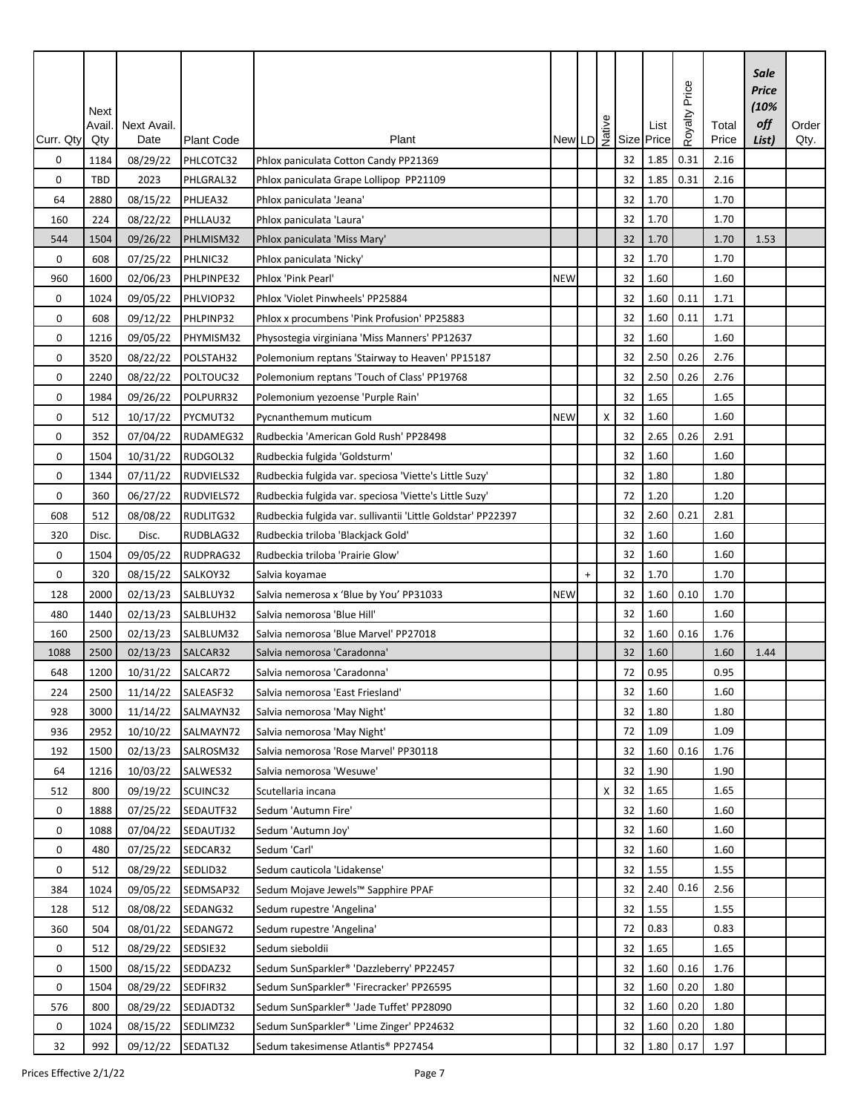|             | Next   |             |                   |                                                              |            |           |   |    |                                 | Price   |       | Sale<br><b>Price</b><br>(10% |       |
|-------------|--------|-------------|-------------------|--------------------------------------------------------------|------------|-----------|---|----|---------------------------------|---------|-------|------------------------------|-------|
|             | Avail. | Next Avail. |                   |                                                              |            |           |   |    | New LD $\frac{3}{2}$ Size Price | Royalty | Total | off                          | Order |
| Curr. Qty   | Qty    | Date        | <b>Plant Code</b> | Plant                                                        |            |           |   |    |                                 |         | Price | List)                        | Qty.  |
| 0           | 1184   | 08/29/22    | PHLCOTC32         | Phlox paniculata Cotton Candy PP21369                        |            |           |   | 32 | 1.85                            | 0.31    | 2.16  |                              |       |
| 0           | TBD    | 2023        | PHLGRAL32         | Phlox paniculata Grape Lollipop PP21109                      |            |           |   | 32 | 1.85                            | 0.31    | 2.16  |                              |       |
| 64          | 2880   | 08/15/22    | PHLJEA32          | Phlox paniculata 'Jeana'                                     |            |           |   | 32 | 1.70                            |         | 1.70  |                              |       |
| 160         | 224    | 08/22/22    | PHLLAU32          | Phlox paniculata 'Laura'                                     |            |           |   | 32 | 1.70                            |         | 1.70  |                              |       |
| 544         | 1504   | 09/26/22    | PHLMISM32         | Phlox paniculata 'Miss Mary'                                 |            |           |   | 32 | 1.70                            |         | 1.70  | 1.53                         |       |
| $\mathbf 0$ | 608    | 07/25/22    | PHLNIC32          | Phlox paniculata 'Nicky'                                     |            |           |   | 32 | 1.70                            |         | 1.70  |                              |       |
| 960         | 1600   | 02/06/23    | PHLPINPE32        | Phlox 'Pink Pearl'                                           | <b>NEW</b> |           |   | 32 | 1.60                            |         | 1.60  |                              |       |
| 0           | 1024   | 09/05/22    | PHLVIOP32         | Phlox 'Violet Pinwheels' PP25884                             |            |           |   | 32 | 1.60                            | 0.11    | 1.71  |                              |       |
| $\mathbf 0$ | 608    | 09/12/22    | PHLPINP32         | Phlox x procumbens 'Pink Profusion' PP25883                  |            |           |   | 32 | 1.60                            | 0.11    | 1.71  |                              |       |
| 0           | 1216   | 09/05/22    | PHYMISM32         | Physostegia virginiana 'Miss Manners' PP12637                |            |           |   | 32 | 1.60                            |         | 1.60  |                              |       |
| 0           | 3520   | 08/22/22    | POLSTAH32         | Polemonium reptans 'Stairway to Heaven' PP15187              |            |           |   | 32 | 2.50                            | 0.26    | 2.76  |                              |       |
| 0           | 2240   | 08/22/22    | POLTOUC32         | Polemonium reptans 'Touch of Class' PP19768                  |            |           |   | 32 | 2.50                            | 0.26    | 2.76  |                              |       |
| 0           | 1984   | 09/26/22    | POLPURR32         | Polemonium yezoense 'Purple Rain'                            |            |           |   | 32 | 1.65                            |         | 1.65  |                              |       |
| 0           | 512    | 10/17/22    | PYCMUT32          | Pycnanthemum muticum                                         | <b>NEW</b> |           | X | 32 | 1.60                            |         | 1.60  |                              |       |
| 0           | 352    | 07/04/22    | RUDAMEG32         | Rudbeckia 'American Gold Rush' PP28498                       |            |           |   | 32 | 2.65                            | 0.26    | 2.91  |                              |       |
| 0           | 1504   | 10/31/22    | RUDGOL32          | Rudbeckia fulgida 'Goldsturm'                                |            |           |   | 32 | 1.60                            |         | 1.60  |                              |       |
| 0           | 1344   | 07/11/22    | RUDVIELS32        | Rudbeckia fulgida var. speciosa 'Viette's Little Suzy'       |            |           |   | 32 | 1.80                            |         | 1.80  |                              |       |
| $\mathbf 0$ | 360    | 06/27/22    | RUDVIELS72        | Rudbeckia fulgida var. speciosa 'Viette's Little Suzy'       |            |           |   | 72 | 1.20                            |         | 1.20  |                              |       |
| 608         | 512    | 08/08/22    | RUDLITG32         | Rudbeckia fulgida var. sullivantii 'Little Goldstar' PP22397 |            |           |   | 32 | 2.60                            | 0.21    | 2.81  |                              |       |
| 320         | Disc.  | Disc.       | RUDBLAG32         | Rudbeckia triloba 'Blackjack Gold'                           |            |           |   | 32 | 1.60                            |         | 1.60  |                              |       |
| 0           | 1504   | 09/05/22    | RUDPRAG32         | Rudbeckia triloba 'Prairie Glow'                             |            |           |   | 32 | 1.60                            |         | 1.60  |                              |       |
| 0           | 320    | 08/15/22    | SALKOY32          | Salvia koyamae                                               |            | $\ddot{}$ |   | 32 | 1.70                            |         | 1.70  |                              |       |
| 128         | 2000   | 02/13/23    | SALBLUY32         | Salvia nemerosa x 'Blue by You' PP31033                      | <b>NEW</b> |           |   | 32 | 1.60                            | 0.10    | 1.70  |                              |       |
| 480         | 1440   | 02/13/23    | SALBLUH32         | Salvia nemorosa 'Blue Hill'                                  |            |           |   | 32 | 1.60                            |         | 1.60  |                              |       |
| 160         | 2500   | 02/13/23    | SALBLUM32         | Salvia nemorosa 'Blue Marvel' PP27018                        |            |           |   | 32 | 1.60                            | 0.16    | 1.76  |                              |       |
| 1088        | 2500   | 02/13/23    | SALCAR32          | Salvia nemorosa 'Caradonna'                                  |            |           |   | 32 | 1.60                            |         | 1.60  | 1.44                         |       |
| 648         | 1200   | 10/31/22    | SALCAR72          | Salvia nemorosa 'Caradonna'                                  |            |           |   | 72 | 0.95                            |         | 0.95  |                              |       |
| 224         | 2500   | 11/14/22    | SALEASF32         | Salvia nemorosa 'East Friesland'                             |            |           |   | 32 | 1.60                            |         | 1.60  |                              |       |
| 928         | 3000   | 11/14/22    | SALMAYN32         | Salvia nemorosa 'May Night'                                  |            |           |   | 32 | 1.80                            |         | 1.80  |                              |       |
| 936         | 2952   | 10/10/22    | SALMAYN72         | Salvia nemorosa 'May Night'                                  |            |           |   | 72 | 1.09                            |         | 1.09  |                              |       |
| 192         | 1500   | 02/13/23    | SALROSM32         | Salvia nemorosa 'Rose Marvel' PP30118                        |            |           |   | 32 | 1.60                            | 0.16    | 1.76  |                              |       |
| 64          | 1216   | 10/03/22    | SALWES32          | Salvia nemorosa 'Wesuwe'                                     |            |           |   | 32 | 1.90                            |         | 1.90  |                              |       |
| 512         | 800    | 09/19/22    | SCUINC32          | Scutellaria incana                                           |            |           | х | 32 | 1.65                            |         | 1.65  |                              |       |
| 0           | 1888   | 07/25/22    | SEDAUTF32         | Sedum 'Autumn Fire'                                          |            |           |   | 32 | 1.60                            |         | 1.60  |                              |       |
| 0           | 1088   | 07/04/22    | SEDAUTJ32         | Sedum 'Autumn Joy'                                           |            |           |   | 32 | 1.60                            |         | 1.60  |                              |       |
| 0           | 480    | 07/25/22    | SEDCAR32          | Sedum 'Carl'                                                 |            |           |   | 32 | 1.60                            |         | 1.60  |                              |       |
| 0           | 512    | 08/29/22    | SEDLID32          | Sedum cauticola 'Lidakense'                                  |            |           |   | 32 | 1.55                            |         | 1.55  |                              |       |
| 384         | 1024   | 09/05/22    | SEDMSAP32         | Sedum Mojave Jewels™ Sapphire PPAF                           |            |           |   | 32 | 2.40                            | 0.16    | 2.56  |                              |       |
| 128         | 512    | 08/08/22    | SEDANG32          | Sedum rupestre 'Angelina'                                    |            |           |   | 32 | 1.55                            |         | 1.55  |                              |       |
| 360         | 504    | 08/01/22    | SEDANG72          | Sedum rupestre 'Angelina'                                    |            |           |   | 72 | 0.83                            |         | 0.83  |                              |       |
| 0           | 512    | 08/29/22    | SEDSIE32          | Sedum sieboldii                                              |            |           |   | 32 | 1.65                            |         | 1.65  |                              |       |
| 0           | 1500   | 08/15/22    | SEDDAZ32          | Sedum SunSparkler® 'Dazzleberry' PP22457                     |            |           |   | 32 | 1.60                            | 0.16    | 1.76  |                              |       |
| 0           | 1504   | 08/29/22    | SEDFIR32          | Sedum SunSparkler® 'Firecracker' PP26595                     |            |           |   | 32 | 1.60                            | 0.20    | 1.80  |                              |       |
| 576         | 800    | 08/29/22    | SEDJADT32         | Sedum SunSparkler® 'Jade Tuffet' PP28090                     |            |           |   | 32 | 1.60                            | 0.20    | 1.80  |                              |       |
| 0           | 1024   | 08/15/22    | SEDLIMZ32         | Sedum SunSparkler® 'Lime Zinger' PP24632                     |            |           |   | 32 | 1.60                            | 0.20    | 1.80  |                              |       |
| 32          | 992    | 09/12/22    | SEDATL32          | Sedum takesimense Atlantis® PP27454                          |            |           |   | 32 | 1.80                            | 0.17    | 1.97  |                              |       |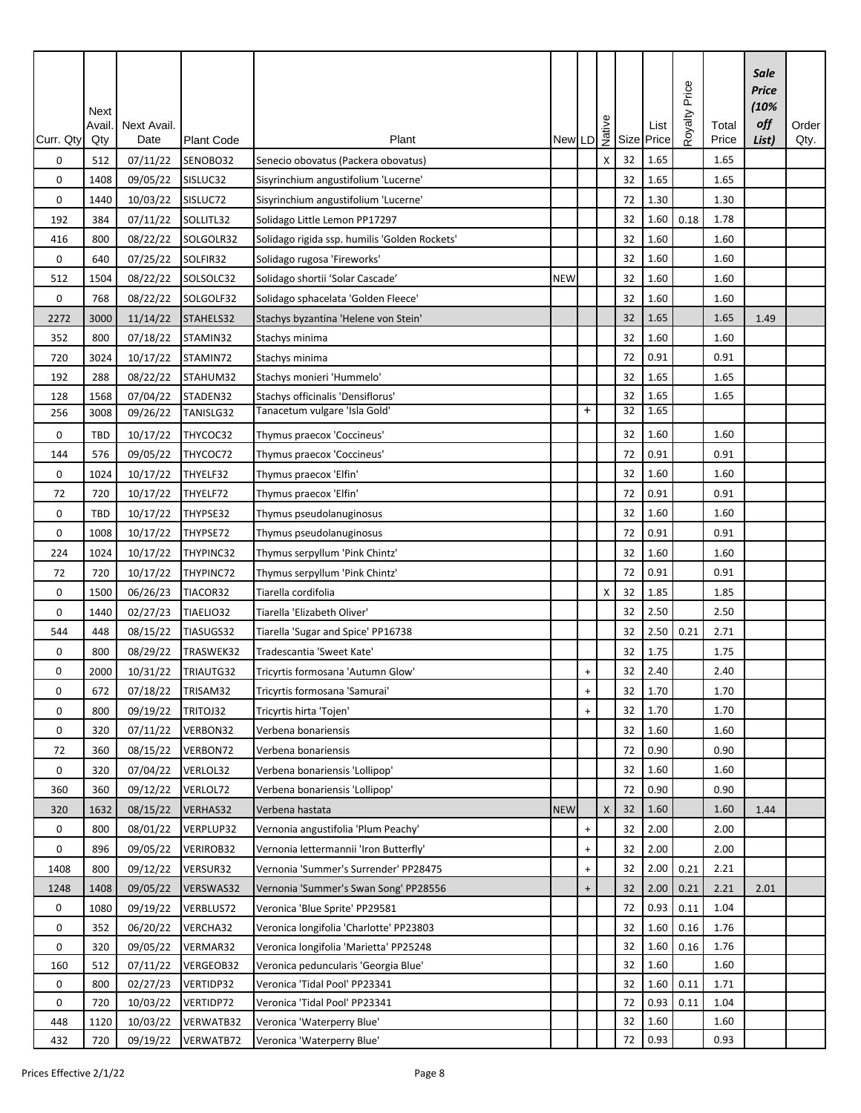| Next<br>Native<br>Size<br>Next Avail.<br>Avail<br>Plant<br>Curr. Qty<br>Qty<br>Date<br><b>Plant Code</b><br>New LD                                  | Price<br><b>Royalty</b><br>List<br>Price | Total<br>Price | Sale<br><b>Price</b><br>(10%<br>off<br>List) | Order<br>Qty. |
|-----------------------------------------------------------------------------------------------------------------------------------------------------|------------------------------------------|----------------|----------------------------------------------|---------------|
| 07/11/22<br>32<br>0<br>512<br>SENOBO32<br>Senecio obovatus (Packera obovatus)<br>X                                                                  | 1.65                                     | 1.65           |                                              |               |
| 32<br>0<br>1408<br>09/05/22<br>SISLUC32<br>Sisyrinchium angustifolium 'Lucerne'                                                                     | 1.65                                     | 1.65           |                                              |               |
| 0<br>10/03/22<br>SISLUC72<br>Sisyrinchium angustifolium 'Lucerne'<br>72<br>1440                                                                     | 1.30                                     | 1.30           |                                              |               |
| 32<br>384<br>07/11/22<br>SOLLITL32<br>Solidago Little Lemon PP17297<br>192                                                                          | 1.60<br>0.18                             | 1.78           |                                              |               |
| 800<br>08/22/22<br>SOLGOLR32<br>32<br>416<br>Solidago rigida ssp. humilis 'Golden Rockets'                                                          | 1.60                                     | 1.60           |                                              |               |
| SOLFIR32<br>32<br>0<br>07/25/22<br>Solidago rugosa 'Fireworks'<br>640                                                                               | 1.60                                     | 1.60           |                                              |               |
| 08/22/22<br>SOLSOLC32<br>512<br>1504<br>Solidago shortii 'Solar Cascade'<br><b>NEW</b><br>32                                                        | 1.60                                     | 1.60           |                                              |               |
| 32<br>0<br>768<br>08/22/22<br>SOLGOLF32<br>Solidago sphacelata 'Golden Fleece'                                                                      | 1.60                                     | 1.60           |                                              |               |
| STAHELS32<br>32<br>2272<br>3000<br>11/14/22<br>Stachys byzantina 'Helene von Stein'                                                                 | 1.65                                     | 1.65           | 1.49                                         |               |
| 32<br>352<br>800<br>07/18/22<br>STAMIN32<br>Stachys minima                                                                                          | 1.60                                     | 1.60           |                                              |               |
| 72<br>720<br>3024<br>10/17/22<br>STAMIN72<br>Stachys minima                                                                                         | 0.91                                     | 0.91           |                                              |               |
| 32<br>288<br>08/22/22<br>STAHUM32<br>192<br>Stachys monieri 'Hummelo'                                                                               | 1.65                                     | 1.65           |                                              |               |
| 07/04/22<br>1568<br>STADEN32<br>Stachys officinalis 'Densiflorus'<br>32<br>128                                                                      | 1.65                                     | 1.65           |                                              |               |
| Tanacetum vulgare 'Isla Gold'<br>32<br>$\ddot{}$<br>TANISLG32<br>256<br>3008<br>09/26/22                                                            | 1.65                                     |                |                                              |               |
| 32<br>0<br>TBD<br>10/17/22<br>THYCOC32<br>Thymus praecox 'Coccineus'                                                                                | 1.60                                     | 1.60           |                                              |               |
| 09/05/22<br>THYCOC72<br>72<br>144<br>576<br>Thymus praecox 'Coccineus'                                                                              | 0.91                                     | 0.91           |                                              |               |
| 32<br>0<br>10/17/22<br>THYELF32<br>1024<br>Thymus praecox 'Elfin'                                                                                   | 1.60                                     | 1.60           |                                              |               |
| 10/17/22<br>THYELF72<br>Thymus praecox 'Elfin'<br>72<br>72<br>720                                                                                   | 0.91                                     | 0.91           |                                              |               |
| 32<br>0<br>TBD<br>10/17/22<br>THYPSE32<br>Thymus pseudolanuginosus                                                                                  | 1.60                                     | 1.60           |                                              |               |
| 0<br>1008<br>10/17/22<br>THYPSE72<br>72<br>Thymus pseudolanuginosus                                                                                 | 0.91                                     | 0.91           |                                              |               |
| 32<br>1024<br>THYPINC32<br>Thymus serpyllum 'Pink Chintz'<br>224<br>10/17/22                                                                        | 1.60                                     | 1.60           |                                              |               |
| 720<br>THYPINC72<br>72<br>72<br>10/17/22<br>Thymus serpyllum 'Pink Chintz'                                                                          | 0.91                                     | 0.91           |                                              |               |
| 32<br>0<br>06/26/23<br>TIACOR32<br>Tiarella cordifolia<br>1500<br>X                                                                                 | 1.85                                     | 1.85           |                                              |               |
| 0<br>TIAELIO32<br>32<br>1440<br>02/27/23<br>Tiarella 'Elizabeth Oliver'                                                                             | 2.50                                     | 2.50           |                                              |               |
| 32<br>448<br>08/15/22<br>TIASUGS32<br>544<br>Tiarella 'Sugar and Spice' PP16738                                                                     | 2.50<br>0.21                             | 2.71           |                                              |               |
| 32<br>08/29/22<br>TRASWEK32<br>Tradescantia 'Sweet Kate'<br>0<br>800                                                                                | 1.75                                     | 1.75           |                                              |               |
| 0<br>TRIAUTG32<br>32<br>2000<br>10/31/22<br>Tricyrtis formosana 'Autumn Glow'<br>$\ddot{}$                                                          | 2.40                                     | 2.40           |                                              |               |
| 32<br>0<br>672<br>07/18/22<br>TRISAM32<br>Tricyrtis formosana 'Samurai'<br>$\boldsymbol{+}$                                                         | 1.70                                     | 1.70           |                                              |               |
| 09/19/22<br>TRITOJ32<br>0<br>800<br>Tricyrtis hirta 'Tojen'<br>32<br>$\ddot{}$                                                                      | 1.70                                     | 1.70           |                                              |               |
| VERBON32<br>32<br>0<br>320<br>07/11/22<br>Verbena bonariensis                                                                                       | 1.60                                     | 1.60           |                                              |               |
| VERBON72<br>72<br>360<br>08/15/22<br>Verbena bonariensis<br>72                                                                                      | 0.90                                     | 0.90           |                                              |               |
| 07/04/22<br>VERLOL32<br>0<br>320<br>Verbena bonariensis 'Lollipop'<br>32                                                                            | 1.60                                     | 1.60           |                                              |               |
| 360<br>360<br>09/12/22<br>VERLOL72<br>Verbena bonariensis 'Lollipop'<br>72                                                                          | 0.90                                     | 0.90           |                                              |               |
| 32<br>1632<br>08/15/22<br>VERHAS32<br>Verbena hastata<br><b>NEW</b><br>$\mathsf{X}$<br>320                                                          | 1.60                                     | 1.60           | 1.44                                         |               |
| 08/01/22<br>VERPLUP32<br>32<br>0<br>800<br>Vernonia angustifolia 'Plum Peachy'<br>$\ddot{}$                                                         | 2.00                                     | 2.00           |                                              |               |
| 32<br>0<br>896<br>09/05/22<br><b>VERIROB32</b><br>Vernonia lettermannii 'Iron Butterfly'<br>$\ddot{}$                                               | 2.00                                     | 2.00           |                                              |               |
| VERSUR32<br>32<br>1408<br>800<br>09/12/22<br>Vernonia 'Summer's Surrender' PP28475<br>$\begin{array}{c} + \end{array}$                              | 2.00<br>0.21                             | 2.21           |                                              |               |
| VERSWAS32<br>1248<br>1408<br>09/05/22<br>Vernonia 'Summer's Swan Song' PP28556<br>32<br>$\ddot{}$                                                   | 2.00<br>0.21                             | 2.21           | 2.01                                         |               |
| 0<br>VERBLUS72<br>72<br>1080<br>09/19/22<br>Veronica 'Blue Sprite' PP29581                                                                          | 0.93<br>0.11                             | 1.04           |                                              |               |
| VERCHA32<br>0<br>352<br>06/20/22<br>Veronica longifolia 'Charlotte' PP23803<br>32                                                                   | 1.60<br>0.16                             | 1.76           |                                              |               |
| 09/05/22<br>VERMAR32<br>32<br>0<br>320<br>Veronica longifolia 'Marietta' PP25248                                                                    | 1.60<br>0.16                             | 1.76           |                                              |               |
| VERGEOB32<br>160<br>512<br>07/11/22<br>Veronica peduncularis 'Georgia Blue'<br>32                                                                   | 1.60                                     | 1.60           |                                              |               |
| 0<br>32<br>800<br>02/27/23<br>VERTIDP32<br>Veronica 'Tidal Pool' PP23341                                                                            | 1.60<br>0.11                             | 1.71           |                                              |               |
| 0<br>720<br>10/03/22<br>VERTIDP72<br>Veronica 'Tidal Pool' PP23341<br>72                                                                            | 0.93<br>0.11                             | 1.04           |                                              |               |
| 32<br>448<br>1120<br>10/03/22<br>VERWATB32<br>Veronica 'Waterperry Blue'<br>432<br>09/19/22<br>72<br>720<br>VERWATB72<br>Veronica 'Waterperry Blue' | 1.60<br>0.93                             | 1.60<br>0.93   |                                              |               |